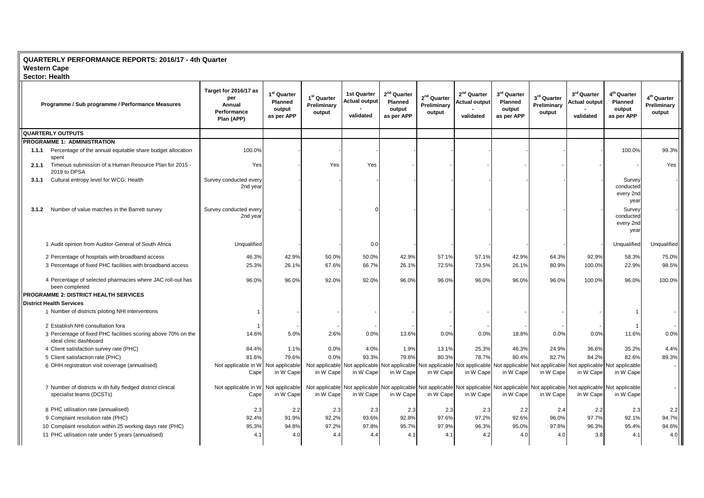## **QUARTERLY PERFORMANCE REPORTS: 2016/17 - 4th Quarter Western Cape**

| <b>Sector: Health</b> |                                                                                         |                                                                     |                                                                   |                                                  |                                                  |                                                                   |                                        |                                                              |                                                            |                                                  |                                                                                                                                                                                   |                                                                   |                                                  |
|-----------------------|-----------------------------------------------------------------------------------------|---------------------------------------------------------------------|-------------------------------------------------------------------|--------------------------------------------------|--------------------------------------------------|-------------------------------------------------------------------|----------------------------------------|--------------------------------------------------------------|------------------------------------------------------------|--------------------------------------------------|-----------------------------------------------------------------------------------------------------------------------------------------------------------------------------------|-------------------------------------------------------------------|--------------------------------------------------|
|                       | Programme / Sub programme / Performance Measures                                        | Target for 2016/17 as<br>per<br>Annual<br>Performance<br>Plan (APP) | 1 <sup>st</sup> Quarter<br><b>Planned</b><br>output<br>as per APP | 1 <sup>st</sup> Quarter<br>Preliminary<br>output | 1st Quarter<br><b>Actual output</b><br>validated | 2 <sup>nd</sup> Quarter<br><b>Planned</b><br>output<br>as per APP | $2nd$ Quarter<br>Preliminary<br>output | 2 <sup>nd</sup> Quarter<br><b>Actual output</b><br>validated | 3 <sup>rd</sup> Quarter<br>Planned<br>output<br>as per APP | 3 <sup>rd</sup> Quarter<br>Preliminary<br>output | 3rd Quarter<br><b>Actual output</b><br>validated                                                                                                                                  | 4 <sup>th</sup> Quarter<br><b>Planned</b><br>output<br>as per APP | 4 <sup>th</sup> Quarter<br>Preliminary<br>output |
|                       | <b>QUARTERLY OUTPUTS</b>                                                                |                                                                     |                                                                   |                                                  |                                                  |                                                                   |                                        |                                                              |                                                            |                                                  |                                                                                                                                                                                   |                                                                   |                                                  |
|                       | <b>PROGRAMME 1: ADMINISTRATION</b>                                                      |                                                                     |                                                                   |                                                  |                                                  |                                                                   |                                        |                                                              |                                                            |                                                  |                                                                                                                                                                                   |                                                                   |                                                  |
| 1.1.1                 | Percentage of the annual equitable share budget allocation<br>spent                     | 100.0%                                                              |                                                                   |                                                  |                                                  |                                                                   |                                        |                                                              |                                                            |                                                  |                                                                                                                                                                                   | 100.0%                                                            | 99.3%                                            |
| 2.1.1                 | Timeous submission of a Human Resource Plan for 2015 -<br>2019 to DPSA                  | Yes                                                                 |                                                                   | Yes                                              | Yes                                              |                                                                   |                                        |                                                              |                                                            |                                                  |                                                                                                                                                                                   |                                                                   | Yes                                              |
| 3.1.1                 | Cultural entropy level for WCG: Health                                                  | Survey conducted every<br>2nd year                                  |                                                                   |                                                  |                                                  |                                                                   |                                        |                                                              |                                                            |                                                  |                                                                                                                                                                                   | Survey<br>conducted<br>every 2nd<br>year                          |                                                  |
| 3.1.2                 | Number of value matches in the Barrett survey                                           | Survey conducted every<br>2nd year                                  |                                                                   |                                                  |                                                  |                                                                   |                                        |                                                              |                                                            |                                                  |                                                                                                                                                                                   | Survey<br>conducted<br>every 2nd<br>year                          |                                                  |
|                       | 1 Audit opinion from Auditor-General of South Africa                                    | Unqualified                                                         |                                                                   |                                                  | 0.0                                              |                                                                   |                                        |                                                              |                                                            |                                                  |                                                                                                                                                                                   | Unqualified                                                       | Unqualified                                      |
|                       | 2 Percentage of hospitals with broadband access                                         | 46.3%                                                               | 42.9%                                                             | 50.0%                                            | 50.0%                                            | 42.9%                                                             | 57.1%                                  | 57.1%                                                        | 42.9%                                                      | 64.3%                                            | 92.9%                                                                                                                                                                             | 58.3%                                                             | 75.0%                                            |
|                       | 3 Percentage of fixed PHC facilities with broadband access                              | 25.3%                                                               | 26.1%                                                             | 67.6%                                            | 66.7%                                            | 26.1%                                                             | 72.5%                                  | 73.5%                                                        | 26.1%                                                      | 80.9%                                            | 100.0%                                                                                                                                                                            | 22.9%                                                             | 98.5%                                            |
|                       | 4 Percentage of selected pharmacies where JAC roll-out has<br>been completed            | 96.0%                                                               | 96.0%                                                             | 92.0%                                            | 92.0%                                            | 96.0%                                                             | 96.0%                                  | 96.0%                                                        | 96.0%                                                      | 96.0%                                            | 100.0%                                                                                                                                                                            | 96.0%                                                             | 100.0%                                           |
|                       | <b>PROGRAMME 2: DISTRICT HEALTH SERVICES</b>                                            |                                                                     |                                                                   |                                                  |                                                  |                                                                   |                                        |                                                              |                                                            |                                                  |                                                                                                                                                                                   |                                                                   |                                                  |
|                       | <b>District Health Services</b>                                                         |                                                                     |                                                                   |                                                  |                                                  |                                                                   |                                        |                                                              |                                                            |                                                  |                                                                                                                                                                                   |                                                                   |                                                  |
|                       | 1 Number of districts piloting NHI interventions                                        | -1                                                                  |                                                                   |                                                  |                                                  |                                                                   |                                        |                                                              |                                                            |                                                  |                                                                                                                                                                                   |                                                                   |                                                  |
|                       | 2 Establish NHI consultation fora                                                       |                                                                     |                                                                   |                                                  |                                                  |                                                                   |                                        |                                                              |                                                            |                                                  |                                                                                                                                                                                   |                                                                   |                                                  |
|                       | 3 Percentage of fixed PHC facilities scoring above 70% on the<br>ideal clinic dashboard | 14.6%                                                               | 5.0%                                                              | 2.6%                                             | 0.0%                                             | 13.6%                                                             | 0.0%                                   | 0.0%                                                         | 18.8%                                                      | 0.0%                                             | 0.0%                                                                                                                                                                              | 11.6%                                                             | 0.0%                                             |
|                       | 4 Client satisfaction survey rate (PHC)                                                 | 84.4%                                                               | 1.1%                                                              | 0.0%                                             | 4.0%                                             | 1.9%                                                              | 13.1%                                  | 25.3%                                                        | 46.3%                                                      | 24.9%                                            | 36.6%                                                                                                                                                                             | 35.2%                                                             | 4.4%                                             |
|                       | 5 Client satisfaction rate (PHC)                                                        | 81.6%                                                               | 79.6%                                                             | 0.0%                                             | 93.3%                                            | 79.6%                                                             | 80.3%                                  | 78.7%                                                        | 80.4%                                                      | 82.7%                                            | 84.2%                                                                                                                                                                             | 82.6%                                                             | 89.3%                                            |
|                       | 6 OHH registration visit coverage (annualised)                                          | Not applicable in W<br>Cape                                         | Not applicable<br>in W Cape                                       | in W Cape                                        | in W Cape                                        | in W Cape                                                         | in W Cape                              | in W Cape                                                    | in W Cape                                                  | in W Cape                                        | Not applicable Not applicable Not applicable Not applicable Not applicable Not applicable Not applicable Not applicable Not applicable Not applicable<br>in W Cape                | in W Cape                                                         |                                                  |
|                       | 7 Number of districts w ith fully fledged district clinical<br>specialist teams (DCSTs) | Not applicable in W Not applicable<br>Cape                          | in W Cape                                                         | in W Cape                                        | in W Cape                                        | in W Cape                                                         | in W Cape                              | in W Cape                                                    | in W Cape                                                  | in W Cape                                        | Not applicable Not applicable Not applicable Not applicable Not applicable Not applicable Not applicable Not applicable Not applicable Not applicable Not applicable<br>in W Cape | in W Cape                                                         |                                                  |
|                       | 8 PHC utilisation rate (annualised)                                                     | 2.3                                                                 | 2.2                                                               | 2.3                                              | 2.3                                              | 2.3                                                               | 2.3                                    | 2.3                                                          | 2.2                                                        | 2.4                                              | 2.2                                                                                                                                                                               | 2.3                                                               | 2.2                                              |
|                       | 9 Complaint resolution rate (PHC)                                                       | 92.4%                                                               | 91.9%                                                             | 92.2%                                            | 93.6%                                            | 92.8%                                                             | 97.6%                                  | 97.2%                                                        | 92.6%                                                      | 96.0%                                            | 97.7%                                                                                                                                                                             | 92.1%                                                             | 94.7%                                            |
|                       | 10 Complaint resolution within 25 working days rate (PHC)                               | 95.3%                                                               | 94.8%                                                             | 97.2%                                            | 97.8%                                            | 95.7%                                                             | 97.9%                                  | 96.3%                                                        | 95.0%                                                      | 97.8%                                            | 96.3%                                                                                                                                                                             | 95.4%                                                             | 94.6%                                            |
|                       | 11 PHC utilisation rate under 5 years (annualised)                                      | 4.1                                                                 | 4.0                                                               | 4.4                                              | 4.4                                              | 4.1                                                               | 4.1                                    | 4.2                                                          | 4.0                                                        | 4.0                                              | 3.8                                                                                                                                                                               | 4.1                                                               | 4.0                                              |
|                       |                                                                                         |                                                                     |                                                                   |                                                  |                                                  |                                                                   |                                        |                                                              |                                                            |                                                  |                                                                                                                                                                                   |                                                                   |                                                  |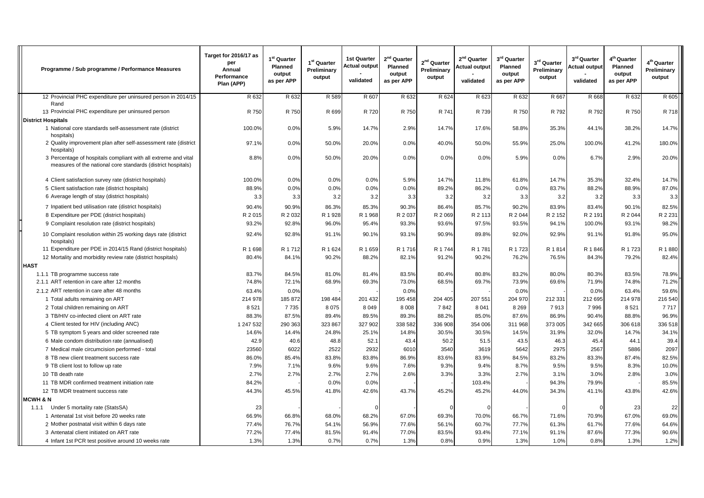| Programme / Sub programme / Performance Measures                                                                               | Target for 2016/17 as<br>per<br>Annual<br>Performance<br>Plan (APP) | 1 <sup>st</sup> Quarter<br>Planned<br>output<br>as per APP | 1 <sup>st</sup> Quarter<br>Preliminary<br>output | <b>1st Quarter</b><br>Actual output<br>validated | $2nd$ Quarter<br>Planned<br>output<br>as per APP | $2nd$ Quarter<br>Preliminary<br>output | 2 <sup>nd</sup> Quarter<br><b>Actual output</b><br>validated | $3^{\text{rd}}$ Quarter<br>Planned<br>output<br>as per APP | 3rd Quarter<br>Preliminary<br>output | $3^{\text{rd}}$ Quarter<br>Actual output<br>validated | 4 <sup>th</sup> Quarter<br>Planned<br>output<br>as per APP | 4 <sup>th</sup> Quarter<br>Preliminary<br>output |
|--------------------------------------------------------------------------------------------------------------------------------|---------------------------------------------------------------------|------------------------------------------------------------|--------------------------------------------------|--------------------------------------------------|--------------------------------------------------|----------------------------------------|--------------------------------------------------------------|------------------------------------------------------------|--------------------------------------|-------------------------------------------------------|------------------------------------------------------------|--------------------------------------------------|
| 12 Provincial PHC expenditure per uninsured person in 2014/15                                                                  | R 632                                                               | R 632                                                      | R 589                                            | R 607                                            | R 632                                            | R 624                                  | R 623                                                        | R 632                                                      | R 667                                | R 668                                                 | R 632                                                      | R 605                                            |
| Rand<br>13 Provincial PHC expenditure per uninsured person                                                                     | R 750                                                               | R 750                                                      | R 699                                            | R 720                                            | R 750                                            | R 741                                  | R 739                                                        | R 750                                                      | R 792                                | R 792                                                 | R 750                                                      | R 718                                            |
| <b>District Hospitals</b>                                                                                                      |                                                                     |                                                            |                                                  |                                                  |                                                  |                                        |                                                              |                                                            |                                      |                                                       |                                                            |                                                  |
| 1 National core standards self-assessment rate (district<br>hospitals)                                                         | 100.0%                                                              | 0.0%                                                       | 5.9%                                             | 14.7%                                            | 2.9%                                             | 14.7%                                  | 17.6%                                                        | 58.8%                                                      | 35.3%                                | 44.1%                                                 | 38.2%                                                      | 14.7%                                            |
| 2 Quality improvement plan after self-assessment rate (district<br>hospitals)                                                  | 97.1%                                                               | 0.0%                                                       | 50.0%                                            | 20.0%                                            | 0.0%                                             | 40.0%                                  | 50.0%                                                        | 55.9%                                                      | 25.0%                                | 100.0%                                                | 41.2%                                                      | 180.0%                                           |
| 3 Percentage of hospitals compliant with all extreme and vital<br>measures of the national core standards (district hospitals) | 8.8%                                                                | 0.0%                                                       | 50.0%                                            | 20.0%                                            | 0.0%                                             | 0.0%                                   | 0.0%                                                         | 5.9%                                                       | 0.0%                                 | 6.7%                                                  | 2.9%                                                       | 20.0%                                            |
| 4 Client satisfaction survey rate (district hospitals)                                                                         | 100.0%                                                              | 0.0%                                                       | 0.0%                                             | 0.0%                                             | 5.9%                                             | 14.7%                                  | 11.8%                                                        | 61.8%                                                      | 14.7%                                | 35.3%                                                 | 32.4%                                                      | 14.7%                                            |
| 5 Client satisfaction rate (district hospitals)                                                                                | 88.9%                                                               | 0.0%                                                       | 0.0%                                             | 0.0%                                             | 0.0%                                             | 89.2%                                  | 86.2%                                                        | 0.0%                                                       | 83.7%                                | 88.2%                                                 | 88.9%                                                      | 87.0%                                            |
| 6 Average length of stay (district hospitals)                                                                                  | 3.3                                                                 | 3.3                                                        | 3.2                                              | 3.2                                              | 3.3                                              | 3.2                                    | 3.2                                                          | 3.3                                                        | 3.2                                  | 3.2                                                   | 3.3                                                        | 3.3                                              |
| 7 Inpatient bed utilisation rate (district hospitals)                                                                          | 90.4%                                                               | 90.9%                                                      | 86.3%                                            | 85.3%                                            | 90.3%                                            | 86.4%                                  | 85.7%                                                        | 90.2%                                                      | 83.9%                                | 83.4%                                                 | 90.1%                                                      | 82.5%                                            |
| 8 Expenditure per PDE (district hospitals)                                                                                     | R 2 015                                                             | R 2 032                                                    | R 1 928                                          | R 1 968                                          | R 2 037                                          | R 2 069                                | R 2 113                                                      | R 2 044                                                    | R 2 152                              | R 2 191                                               | R 2 044                                                    | R 2 231                                          |
| 9 Complaint resolution rate (district hospitals)                                                                               | 93.2%                                                               | 92.8%                                                      | 96.0%                                            | 95.4%                                            | 93.3%                                            | 93.6%                                  | 97.5%                                                        | 93.5%                                                      | 94.1%                                | 100.0%                                                | 93.1%                                                      | 98.2%                                            |
| 10 Complaint resolution within 25 working days rate (district<br>hospitals)                                                    | 92.4%                                                               | 92.8%                                                      | 91.1%                                            | 90.1%                                            | 93.1%                                            | 90.9%                                  | 89.8%                                                        | 92.0%                                                      | 92.9%                                | 91.1%                                                 | 91.8%                                                      | 95.0%                                            |
| 11 Expenditure per PDE in 2014/15 Rand (district hospitals)                                                                    | R 1 698                                                             | R 1 712                                                    | R 1 624                                          | R 1659                                           | R 1 716                                          | R 1744                                 | R 1781                                                       | R 1723                                                     | R 1814                               | R 1846                                                | R 1723                                                     | R 1880                                           |
| 12 Mortality and morbidity review rate (district hospitals)                                                                    | 80.4%                                                               | 84.1%                                                      | 90.2%                                            | 88.2%                                            | 82.1%                                            | 91.2%                                  | 90.2%                                                        | 76.2%                                                      | 76.5%                                | 84.3%                                                 | 79.2%                                                      | 82.4%                                            |
| <b>HAST</b>                                                                                                                    |                                                                     |                                                            |                                                  |                                                  |                                                  |                                        |                                                              |                                                            |                                      |                                                       |                                                            |                                                  |
| 1.1.1 TB programme success rate                                                                                                | 83.7%                                                               | 84.5%                                                      | 81.0%                                            | 81.4%                                            | 83.5%                                            | 80.4%                                  | 80.8%                                                        | 83.2%                                                      | 80.0%                                | 80.3%                                                 | 83.5%                                                      | 78.9%                                            |
| 2.1.1 ART retention in care after 12 months                                                                                    | 74.8%                                                               | 72.1%                                                      | 68.9%                                            | 69.3%                                            | 73.0%                                            | 68.5%                                  | 69.7%                                                        | 73.9%                                                      | 69.6%                                | 71.9%                                                 | 74.8%                                                      | 71.2%                                            |
| 2.1.2 ART retention in care after 48 months                                                                                    | 63.4%                                                               | 0.0%                                                       |                                                  |                                                  | 0.0%                                             |                                        |                                                              | 0.0%                                                       |                                      | 0.0%                                                  | 63.4%                                                      | 59.6%                                            |
| 1 Total adults remaining on ART                                                                                                | 214 978                                                             | 185 872                                                    | 198 484                                          | 201 432                                          | 195 458                                          | 204 405                                | 207 551                                                      | 204 970                                                    | 212 331                              | 212 695                                               | 214 978                                                    | 216 540                                          |
| 2 Total children remaining on ART                                                                                              | 8521                                                                | 7735                                                       | 8 0 7 5                                          | 8 0 4 9                                          | 8 0 0 8                                          | 7842                                   | 8 0 4 1                                                      | 8 2 6 9                                                    | 7913                                 | 7996                                                  | 8521                                                       | 7717                                             |
| 3 TB/HIV co-infected client on ART rate                                                                                        | 88.3%                                                               | 87.5%                                                      | 89.4%                                            | 89.5%                                            | 89.3%                                            | 88.2%                                  | 85.0%                                                        | 87.6%                                                      | 86.9%                                | 90.4%                                                 | 88.8%                                                      | 96.9%                                            |
| 4 Client tested for HIV (including ANC)                                                                                        | 1 247 532                                                           | 290 363                                                    | 323 867                                          | 327 902                                          | 338 582                                          | 336 908                                | 354 006                                                      | 311 968                                                    | 373 005                              | 342 665                                               | 306 618                                                    | 336 518                                          |
| 5 TB symptom 5 years and older screened rate                                                                                   | 14.6%                                                               | 14.4%                                                      | 24.8%                                            | 25.1%                                            | 14.8%                                            | 30.5%                                  | 30.5%                                                        | 14.5%                                                      | 31.9%                                | 32.0%                                                 | 14.7%                                                      | 34.1%                                            |
| 6 Male condom distribution rate (annualised)                                                                                   | 42.9<br>23560                                                       | 40.6<br>6022                                               | 48.8<br>2522                                     | 52.1<br>2932                                     | 43.4<br>6010                                     | 50.2<br>3540                           | 51.5<br>3619                                                 | 43.5<br>5642                                               | 46.3<br>2975                         | 45.4<br>2567                                          | 44.1<br>5886                                               | 39.4<br>2097                                     |
| 7 Medical male circumcision performed - total<br>8 TB new client treatment success rate                                        | 86.0%                                                               | 85.4%                                                      | 83.8%                                            | 83.8%                                            | 86.9%                                            | 83.6%                                  | 83.9%                                                        | 84.5%                                                      | 83.2%                                | 83.3%                                                 | 87.4%                                                      | 82.5%                                            |
| 9 TB client lost to follow up rate                                                                                             | 7.9%                                                                | 7.1%                                                       | 9.6%                                             | 9.6%                                             | 7.6%                                             | 9.3%                                   | 9.4%                                                         | 8.7%                                                       | 9.5%                                 | 9.5%                                                  | 8.3%                                                       | 10.0%                                            |
| 10 TB death rate                                                                                                               | 2.7%                                                                | 2.7%                                                       | 2.7%                                             | 2.7%                                             | 2.6%                                             | 3.3%                                   | 3.3%                                                         | 2.7%                                                       | 3.1%                                 | 3.0%                                                  | 2.8%                                                       | 3.0%                                             |
| 11 TB MDR confirmed treatment initiation rate                                                                                  | 84.2%                                                               |                                                            | 0.0%                                             | 0.0%                                             |                                                  |                                        | 103.4%                                                       |                                                            | 94.3%                                | 79.9%                                                 |                                                            | 85.5%                                            |
| 12 TB MDR treatment success rate                                                                                               | 44.3%                                                               | 45.5%                                                      | 41.8%                                            | 42.6%                                            | 43.7%                                            | 45.2%                                  | 45.2%                                                        | 44.0%                                                      | 34.3%                                | 41.1%                                                 | 43.8%                                                      | 42.6%                                            |
| <b>MCWH &amp; N</b>                                                                                                            |                                                                     |                                                            |                                                  |                                                  |                                                  |                                        |                                                              |                                                            |                                      |                                                       |                                                            |                                                  |
| Under 5 mortality rate (StatsSA)<br>1.1.1                                                                                      | 23                                                                  |                                                            |                                                  | $\sqrt{ }$                                       |                                                  | $\mathsf{C}$                           |                                                              |                                                            |                                      |                                                       | 23                                                         | 22                                               |
| 1 Antenatal 1st visit before 20 weeks rate                                                                                     | 66.9%                                                               | 66.8%                                                      | 68.0%                                            | 68.2%                                            | 67.0%                                            | 69.3%                                  | 70.0%                                                        | 66.7%                                                      | 71.6%                                | 70.9%                                                 | 67.0%                                                      | 69.0%                                            |
| 2 Mother postnatal visit within 6 days rate                                                                                    | 77.4%                                                               | 76.7%                                                      | 54.1%                                            | 56.9%                                            | 77.6%                                            | 56.1%                                  | 60.7%                                                        | 77.7%                                                      | 61.3%                                | 61.7%                                                 | 77.6%                                                      | 64.6%                                            |
| 3 Antenatal client initiated on ART rate                                                                                       | 77.2%                                                               | 77.4%                                                      | 81.5%                                            | 91.4%                                            | 77.0%                                            | 83.5%                                  | 93.4%                                                        | 77.1%                                                      | 91.1%                                | 87.6%                                                 | 77.3%                                                      | 90.6%                                            |
| 4 Infant 1st PCR test positive around 10 weeks rate                                                                            | 1.3%                                                                | 1.3%                                                       | 0.7%                                             | 0.7%                                             | 1.3%                                             | 0.8%                                   | 0.9%                                                         | 1.3%                                                       | 1.0%                                 | 0.8%                                                  | 1.3%                                                       | 1.2%                                             |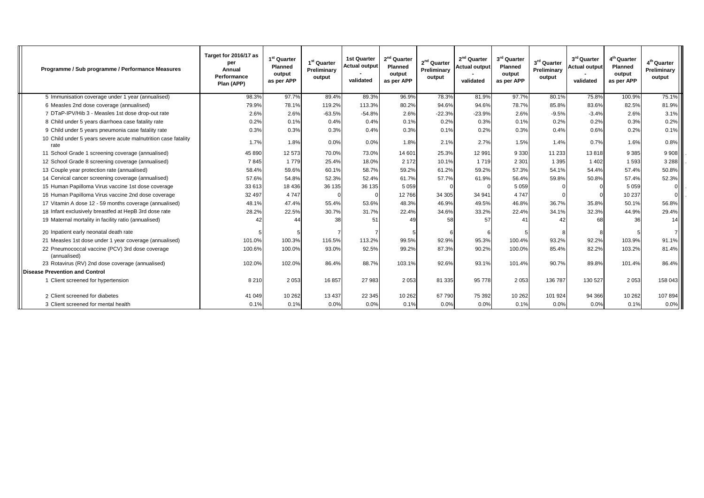| Programme / Sub programme / Performance Measures                       | Target for 2016/17 as<br>per<br>Annual<br>Performance<br>Plan (APP) | 1 <sup>st</sup> Quarter<br><b>Planned</b><br>output<br>as per APP | 1 <sup>st</sup> Quarter<br>Preliminary<br>output | <b>1st Quarter</b><br><b>Actual output</b><br>validated | 2 <sup>nd</sup> Quarter<br>Planned<br>output<br>as per APP | 2 <sup>nd</sup> Quarter<br>Preliminary<br>output | 2 <sup>nd</sup> Quarter<br><b>Actual output</b><br>validated | 3rd Quarter<br>Planned<br>output<br>as per APP | 3rd Quarter<br>Preliminary<br>output | 3rd Quarter<br><b>Actual output</b><br>validated | 4 <sup>th</sup> Quarter<br>Planned<br>output<br>as per APP | 4 <sup>th</sup> Quarter<br>Preliminary<br>output |
|------------------------------------------------------------------------|---------------------------------------------------------------------|-------------------------------------------------------------------|--------------------------------------------------|---------------------------------------------------------|------------------------------------------------------------|--------------------------------------------------|--------------------------------------------------------------|------------------------------------------------|--------------------------------------|--------------------------------------------------|------------------------------------------------------------|--------------------------------------------------|
| 5 Immunisation coverage under 1 year (annualised)                      | 98.3%                                                               | 97.7%                                                             | 89.4%                                            | 89.3%                                                   | 96.9%                                                      | 78.3%                                            | 81.9%                                                        | 97.7%                                          | 80.1%                                | 75.8%                                            | 100.9%                                                     | 75.1%                                            |
| 6 Measles 2nd dose coverage (annualised)                               | 79.9%                                                               | 78.1%                                                             | 119.2%                                           | 113.3%                                                  | 80.2%                                                      | 94.6%                                            | 94.6%                                                        | 78.7%                                          | 85.8%                                | 83.6%                                            | 82.5%                                                      | 81.9%                                            |
| 7 DTaP-IPV/Hib 3 - Measles 1st dose drop-out rate                      | 2.6%                                                                | 2.6%                                                              | $-63.5%$                                         | $-54.8%$                                                | 2.6%                                                       | $-22.3%$                                         | $-23.9%$                                                     | 2.6%                                           | $-9.5%$                              | $-3.4%$                                          | 2.6%                                                       | 3.1%                                             |
| 8 Child under 5 years diarrhoea case fatality rate                     | 0.2%                                                                | 0.1%                                                              | 0.4%                                             | 0.4%                                                    | 0.1%                                                       | 0.2%                                             | 0.3%                                                         | 0.1%                                           | 0.2%                                 | 0.2%                                             | 0.3%                                                       | 0.2%                                             |
| 9 Child under 5 years pneumonia case fatality rate                     | 0.3%                                                                | 0.3%                                                              | 0.3%                                             | 0.4%                                                    | 0.3%                                                       | 0.1%                                             | 0.2%                                                         | 0.3%                                           | 0.4%                                 | 0.6%                                             | 0.2%                                                       | 0.1%                                             |
| 10 Child under 5 years severe acute malnutrition case fatality<br>rate | 1.7%                                                                | 1.8%                                                              | 0.0%                                             | 0.0%                                                    | 1.8%                                                       | 2.1%                                             | 2.7%                                                         | 1.5%                                           | 1.4%                                 | 0.7%                                             | 1.6%                                                       | 0.8%                                             |
| 11 School Grade 1 screening coverage (annualised)                      | 45 890                                                              | 12 573                                                            | 70.0%                                            | 73.0%                                                   | 14 601                                                     | 25.3%                                            | 12 991                                                       | 9 3 3 0                                        | 11 233                               | 13818                                            | 9 3 8 5                                                    | 9 9 0 8                                          |
| 12 School Grade 8 screening coverage (annualised)                      | 7845                                                                | 1 7 7 9                                                           | 25.4%                                            | 18.0%                                                   | 2 1 7 2                                                    | 10.1%                                            | 1 7 1 9                                                      | 2 3 0 1                                        | 1 3 9 5                              | 1 4 0 2                                          | 1593                                                       | 3 2 8 8                                          |
| 13 Couple year protection rate (annualised)                            | 58.4%                                                               | 59.6%                                                             | 60.1%                                            | 58.7%                                                   | 59.2%                                                      | 61.2%                                            | 59.2%                                                        | 57.3%                                          | 54.1%                                | 54.4%                                            | 57.4%                                                      | 50.8%                                            |
| 14 Cervical cancer screening coverage (annualised)                     | 57.6%                                                               | 54.8%                                                             | 52.3%                                            | 52.4%                                                   | 61.7%                                                      | 57.7%                                            | 61.9%                                                        | 56.4%                                          | 59.8%                                | 50.8%                                            | 57.4%                                                      | 52.3%                                            |
| 15 Human Papilloma Virus vaccine 1st dose coverage                     | 33 613                                                              | 18 4 36                                                           | 36 135                                           | 36 135                                                  | 5 0 5 9                                                    |                                                  |                                                              | 5 0 5 9                                        |                                      |                                                  | 5 0 5 9                                                    |                                                  |
| 16 Human Papilloma Virus vaccine 2nd dose coverage                     | 32 497                                                              | 4 7 4 7                                                           |                                                  |                                                         | 12766                                                      | 34 30 5                                          | 34 941                                                       | 4 7 4 7                                        |                                      |                                                  | 10 237                                                     |                                                  |
| 17 Vitamin A dose 12 - 59 months coverage (annualised)                 | 48.1%                                                               | 47.4%                                                             | 55.4%                                            | 53.6%                                                   | 48.3%                                                      | 46.9%                                            | 49.5%                                                        | 46.8%                                          | 36.7%                                | 35.8%                                            | 50.1%                                                      | 56.8%                                            |
| 18 Infant exclusively breastfed at HepB 3rd dose rate                  | 28.2%                                                               | 22.5%                                                             | 30.7%                                            | 31.7%                                                   | 22.4%                                                      | 34.6%                                            | 33.2%                                                        | 22.4%                                          | 34.1%                                | 32.3%                                            | 44.9%                                                      | 29.4%                                            |
| 19 Maternal mortality in facility ratio (annualised)                   |                                                                     |                                                                   | 38                                               | 51                                                      |                                                            | 58                                               | 57                                                           | 41                                             | $\Delta$                             | 68                                               | 36                                                         | 14                                               |
| 20 Inpatient early neonatal death rate                                 |                                                                     |                                                                   |                                                  |                                                         |                                                            |                                                  |                                                              |                                                |                                      |                                                  |                                                            |                                                  |
| 21 Measles 1st dose under 1 year coverage (annualised)                 | 101.0%                                                              | 100.3%                                                            | 116.5%                                           | 113.2%                                                  | 99.5%                                                      | 92.9%                                            | 95.3%                                                        | 100.4%                                         | 93.2%                                | 92.2%                                            | 103.9%                                                     | 91.1%                                            |
| 22 Pneumococcal vaccine (PCV) 3rd dose coverage<br>(annualised)        | 100.6%                                                              | 100.0%                                                            | 93.0%                                            | 92.5%                                                   | 99.2%                                                      | 87.3%                                            | 90.2%                                                        | 100.0%                                         | 85.4%                                | 82.2%                                            | 103.2%                                                     | 81.4%                                            |
| 23 Rotavirus (RV) 2nd dose coverage (annualised)                       | 102.0%                                                              | 102.0%                                                            | 86.4%                                            | 88.7%                                                   | 103.1%                                                     | 92.6%                                            | 93.1%                                                        | 101.4%                                         | 90.7%                                | 89.8%                                            | 101.4%                                                     | 86.4%                                            |
| <b>Disease Prevention and Control</b>                                  |                                                                     |                                                                   |                                                  |                                                         |                                                            |                                                  |                                                              |                                                |                                      |                                                  |                                                            |                                                  |
| 1 Client screened for hypertension                                     | 8 2 1 0                                                             | 2 0 5 3                                                           | 16 857                                           | 27 983                                                  | 2053                                                       | 81 335                                           | 95 778                                                       | 2 0 5 3                                        | 136 787                              | 130 527                                          | 2053                                                       | 158 043                                          |
| 2 Client screened for diabetes                                         | 41 049                                                              | 10 26 2                                                           | 13 4 37                                          | 22 3 45                                                 | 10 262                                                     | 67790                                            | 75 392                                                       | 10 26 2                                        | 101 924                              | 94 366                                           | 10 26 2                                                    | 107 894                                          |
| 3 Client screened for mental health                                    | 0.1%                                                                | 0.1%                                                              | 0.0%                                             | 0.0%                                                    | 0.1%                                                       | 0.0%                                             | 0.0%                                                         | 0.1%                                           | 0.0%                                 | 0.0%                                             | 0.1%                                                       | 0.0%                                             |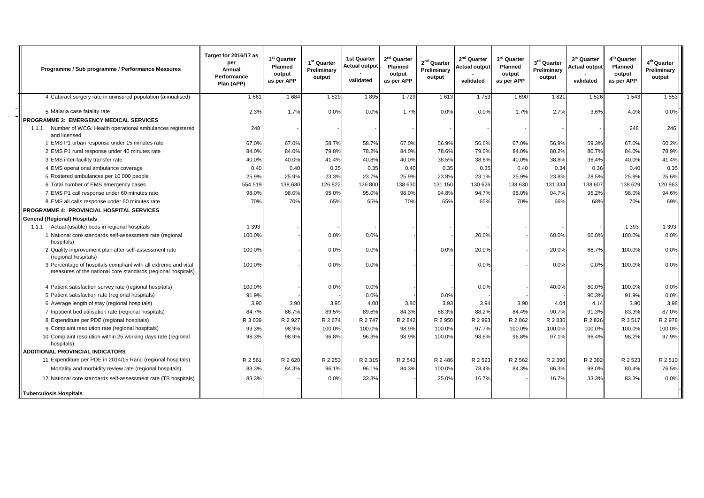| Programme / Sub programme / Performance Measures                                                                               | Target for 2016/17 as<br>per<br>Annual<br>Performance<br>Plan (APP) | 1 <sup>st</sup> Quarter<br><b>Planned</b><br>output<br>as per APP | 1 <sup>st</sup> Quarter<br>Preliminary<br>output | <b>1st Quarter</b><br><b>Actual output</b><br>validated | 2 <sup>nd</sup> Quarter<br><b>Planned</b><br>output<br>as per APP | $2nd$ Quarter<br>Preliminary<br>output | 2 <sup>nd</sup> Quarter<br><b>Actual output</b><br>validated | 3 <sup>rd</sup> Quarter<br>Planned<br>output<br>as per APP | 3rd Quarter<br>Preliminary<br>output | 3 <sup>rd</sup> Quarter<br>Actual output<br>validated | 4 <sup>th</sup> Quarter<br><b>Planned</b><br>output<br>as per APP | 4 <sup>th</sup> Quarter<br>Preliminary<br>output |
|--------------------------------------------------------------------------------------------------------------------------------|---------------------------------------------------------------------|-------------------------------------------------------------------|--------------------------------------------------|---------------------------------------------------------|-------------------------------------------------------------------|----------------------------------------|--------------------------------------------------------------|------------------------------------------------------------|--------------------------------------|-------------------------------------------------------|-------------------------------------------------------------------|--------------------------------------------------|
| 4 Cataract surgery rate in uninsured population (annualised)                                                                   | 1661                                                                | 1 6 8 4                                                           | 1829                                             | 1895                                                    | 1729                                                              | 1613                                   | 1753                                                         | 1690                                                       | 1821                                 | 1526                                                  | 1543                                                              | 1553                                             |
| 5 Malaria case fatality rate                                                                                                   | 2.3%                                                                | 1.7%                                                              | 0.0%                                             | 0.0%                                                    | 1.7%                                                              | 0.0%                                   | 0.0%                                                         | 1.7%                                                       | 2.7%                                 | 3.6%                                                  | 4.0%                                                              | 0.0%                                             |
| PROGRAMME 3: EMERGENCY MEDICAL SERVICES                                                                                        |                                                                     |                                                                   |                                                  |                                                         |                                                                   |                                        |                                                              |                                                            |                                      |                                                       |                                                                   |                                                  |
| 1.1.1 Number of WCG: Health operational ambulances registered<br>and licensed                                                  | 248                                                                 |                                                                   |                                                  |                                                         |                                                                   |                                        |                                                              |                                                            |                                      |                                                       | 248                                                               | 246                                              |
| 1 EMS P1 urban response under 15 minutes rate                                                                                  | 67.0%                                                               | 67.0%                                                             | 58.7%                                            | 58.7%                                                   | 67.0%                                                             | 56.9%                                  | 56.6%                                                        | 67.0%                                                      | 56.9%                                | 59.3%                                                 | 67.0%                                                             | 60.2%                                            |
| 2 EMS P1 rural response under 40 minutes rate                                                                                  | 84.0%                                                               | 84.0%                                                             | 79.8%                                            | 78.2%                                                   | 84.0%                                                             | 78.6%                                  | 79.0%                                                        | 84.0%                                                      | 80.2%                                | 80.7%                                                 | 84.0%                                                             | 78.9%                                            |
| 3 EMS inter-facility transfer rate                                                                                             | 40.0%                                                               | 40.0%                                                             | 41.4%                                            | 40.8%                                                   | 40.0%                                                             | 38.5%                                  | 38.6%                                                        | 40.0%                                                      | 38.8%                                | 36.4%                                                 | 40.0%                                                             | 41.4%                                            |
| 4 EMS operational ambulance coverage                                                                                           | 0.40                                                                | 0.40                                                              | 0.35                                             | 0.35                                                    | 0.40                                                              | 0.35                                   | 0.35                                                         | 0.40                                                       | 0.34                                 | 0.36                                                  | 0.40                                                              | 0.35                                             |
| 5 Rostered ambulances per 10 000 people                                                                                        | 25.9%                                                               | 25.9%                                                             | 23.3%                                            | 23.7%                                                   | 25.9%                                                             | 23.8%                                  | 23.1%                                                        | 25.9%                                                      | 23.8%                                | 28.5%                                                 | 25.9%                                                             | 25.6%                                            |
| 6 Total number of EMS emergency cases                                                                                          | 554 519                                                             | 138 630                                                           | 126 822                                          | 126 800                                                 | 138 630                                                           | 131 150                                | 130 626                                                      | 138 630                                                    | 131 334                              | 138 607                                               | 138 629                                                           | 120 863                                          |
| 7 EMS P1 call response under 60 minutes rate                                                                                   | 98.0%                                                               | 98.0%                                                             | 95.0%                                            | 95.0%                                                   | 98.0%                                                             | 94.8%                                  | 94.7%                                                        | 98.0%                                                      | 94.7%                                | 95.2%                                                 | 98.0%                                                             | 94.6%                                            |
| 8 EMS all calls response under 60 minutes rate                                                                                 | 70%                                                                 | 70%                                                               | 65%                                              | 65%                                                     | 70%                                                               | 65%                                    | 65%                                                          | 70%                                                        | 66%                                  | 68%                                                   | 70%                                                               | 69%                                              |
| PROGRAMME 4: PROVINCIAL HOSPITAL SERVICES                                                                                      |                                                                     |                                                                   |                                                  |                                                         |                                                                   |                                        |                                                              |                                                            |                                      |                                                       |                                                                   |                                                  |
| <b>General (Regional) Hospitals</b>                                                                                            |                                                                     |                                                                   |                                                  |                                                         |                                                                   |                                        |                                                              |                                                            |                                      |                                                       |                                                                   |                                                  |
| 1.1.1 Actual (usable) beds in regional hospitals                                                                               | 1 3 9 3                                                             |                                                                   |                                                  |                                                         |                                                                   |                                        |                                                              |                                                            |                                      |                                                       | 1 3 9 3                                                           | 1 3 9 3                                          |
| 1 National core standards self-assessment rate (regional<br>hospitals)                                                         | 100.0%                                                              |                                                                   | 0.0%                                             | 0.0%                                                    |                                                                   |                                        | 20.0%                                                        |                                                            | 60.0%                                | 60.0%                                                 | 100.0%                                                            | 0.0%                                             |
| 2 Quality improvement plan after self-assessment rate<br>(regional hospitals)                                                  | 100.0%                                                              |                                                                   | 0.0%                                             | 0.0%                                                    |                                                                   | 0.0%                                   | 20.0%                                                        |                                                            | 20.0%                                | 66.7%                                                 | 100.0%                                                            | 0.0%                                             |
| 3 Percentage of hospitals compliant with all extreme and vital<br>measures of the national core standards (regional hospitals) | 100.0%                                                              |                                                                   | 0.0%                                             | 0.0%                                                    |                                                                   |                                        | 0.0%                                                         |                                                            | 0.0%                                 | 0.0%                                                  | 100.0%                                                            | 0.0%                                             |
| 4 Patient satisfaction survey rate (regional hospitals)                                                                        | 100.0%                                                              |                                                                   | 0.0%                                             | 0.0%                                                    |                                                                   |                                        | 0.0%                                                         |                                                            | 40.0%                                | 80.0%                                                 | 100.0%                                                            | 0.0%                                             |
| 5 Patient satisfaction rate (regional hospitals)                                                                               | 91.9%                                                               |                                                                   |                                                  | 0.0%                                                    |                                                                   | 0.0%                                   |                                                              |                                                            |                                      | 90.3%                                                 | 91.9%                                                             | 0.0%                                             |
| 6 Average length of stay (regional hospitals)                                                                                  | 3.90                                                                | 3.90                                                              | 3.95                                             | 4.00                                                    | 3.80                                                              | 3.93                                   | 3.94                                                         | 3.90                                                       | 4.04                                 | 4.14                                                  | 3.90                                                              | 3.98                                             |
| 7 Inpatient bed utilisation rate (regional hospitals)                                                                          | 84.7%                                                               | 86.7%                                                             | 89.5%                                            | 89.6%                                                   | 84.3%                                                             | 88.3%                                  | 88.2%                                                        | 84.4%                                                      | 90.7%                                | 91.3%                                                 | 83.3%                                                             | 87.0%                                            |
| 8 Expenditure per PDE (regional hospitals)                                                                                     | R 3 0 3 9                                                           | R 2 927                                                           | R 2674                                           | R 2747                                                  | R 2 842                                                           | R 2 950                                | R 2 993                                                      | R 2 862                                                    | R 2 836                              | R 2 8 2 6                                             | R 3 517                                                           | R 2 978                                          |
| 9 Complaint resolution rate (regional hospitals)                                                                               | 99.3%                                                               | 98.9%                                                             | 100.0%                                           | 100.0%                                                  | 98.9%                                                             | 100.0%                                 | 97.7%                                                        | 100.0%                                                     | 100.0%                               | 100.0%                                                | 100.0%                                                            | 100.0%                                           |
| 10 Complaint resolution within 25 working days rate (regional<br>hospitals)                                                    | 98.3%                                                               | 98.9%                                                             | 96.8%                                            | 96.3%                                                   | 98.9%                                                             | 100.0%                                 | 98.8%                                                        | 96.8%                                                      | 97.1%                                | 96.4%                                                 | 98.2%                                                             | 97.9%                                            |
| <b>ADDITIONAL PROVINCIAL INDICATORS</b>                                                                                        |                                                                     |                                                                   |                                                  |                                                         |                                                                   |                                        |                                                              |                                                            |                                      |                                                       |                                                                   |                                                  |
| 11 Expenditure per PDE in 2014/15 Rand (regional hospitals)                                                                    | R 2 561                                                             | R 2 620                                                           | R 2 253                                          | R 2 3 1 5                                               | R 2 543                                                           | R 2 486                                | R 2 523                                                      | R 2 5 6 2                                                  | R 2 390                              | R 2 382                                               | R 2 5 23                                                          | R 2 510                                          |
| Mortality and morbidity review rate (regional hospitals)                                                                       | 83.3%                                                               | 84.3%                                                             | 96.1%                                            | 96.1%                                                   | 84.3%                                                             | 100.0%                                 | 78.4%                                                        | 84.3%                                                      | 86.3%                                | 98.0%                                                 | 80.4%                                                             | 76.5%                                            |
| 12 National core standards self-assessment rate (TB hospitals)                                                                 | 83.3%                                                               |                                                                   | 0.0%                                             | 33.3%                                                   |                                                                   | 25.0%                                  | 16.7%                                                        |                                                            | 16.7%                                | 33.3%                                                 | 83.3%                                                             | 0.0%                                             |
| <b>Tuberculosis Hospitals</b>                                                                                                  |                                                                     |                                                                   |                                                  |                                                         |                                                                   |                                        |                                                              |                                                            |                                      |                                                       |                                                                   |                                                  |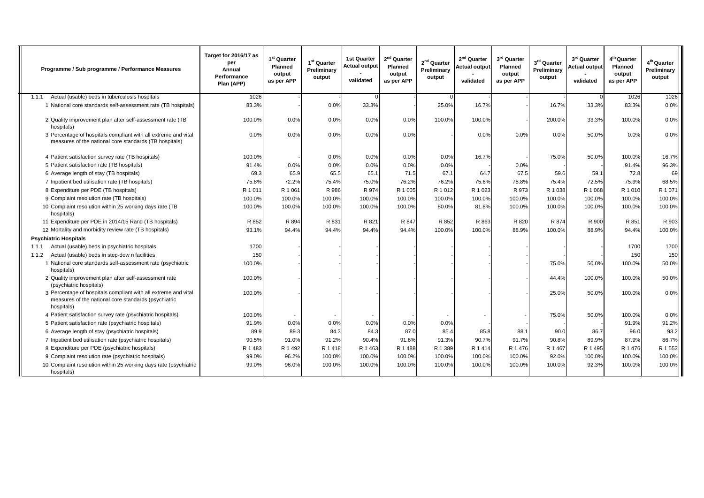| Programme / Sub programme / Performance Measures                                                                                     | Target for 2016/17 as<br>per<br>Annual<br>Performance<br>Plan (APP) | 1 <sup>st</sup> Quarter<br><b>Planned</b><br>output<br>as per APP | 1 <sup>st</sup> Quarter<br>Preliminary<br>output | <b>1st Quarter</b><br><b>Actual output</b><br>validated | 2 <sup>nd</sup> Quarter<br>Planned<br>output<br>as per APP | $2nd$ Quarter<br>Preliminary<br>output | 2 <sup>nd</sup> Quarter<br><b>Actual output</b><br>validated | 3rd Quarter<br><b>Planned</b><br>output<br>as per APP | $3^{\rm rd}$ Quarter<br>Preliminary<br>output | 3rd Quarter<br><b>Actual output</b><br>validated | 4 <sup>th</sup> Quarter<br>Planned<br>output<br>as per APP | 4 <sup>th</sup> Quarter<br>Preliminary<br>output |
|--------------------------------------------------------------------------------------------------------------------------------------|---------------------------------------------------------------------|-------------------------------------------------------------------|--------------------------------------------------|---------------------------------------------------------|------------------------------------------------------------|----------------------------------------|--------------------------------------------------------------|-------------------------------------------------------|-----------------------------------------------|--------------------------------------------------|------------------------------------------------------------|--------------------------------------------------|
| Actual (usable) beds in tuberculosis hospitals<br>1.1.1                                                                              | 1026                                                                |                                                                   |                                                  |                                                         |                                                            |                                        |                                                              |                                                       |                                               |                                                  | 1026                                                       | 1026                                             |
| 1 National core standards self-assessment rate (TB hospitals)                                                                        | 83.3%                                                               |                                                                   | 0.0%                                             | 33.3%                                                   |                                                            | 25.0%                                  | 16.7%                                                        |                                                       | 16.7%                                         | 33.3%                                            | 83.3%                                                      | 0.0%                                             |
| 2 Quality improvement plan after self-assessment rate (TB<br>hospitals)                                                              | 100.0%                                                              | 0.0%                                                              | 0.0%                                             | 0.0%                                                    | 0.0%                                                       | 100.0%                                 | 100.0%                                                       |                                                       | 200.0%                                        | 33.3%                                            | 100.0%                                                     | 0.0%                                             |
| 3 Percentage of hospitals compliant with all extreme and vital<br>measures of the national core standards (TB hospitals)             | 0.0%                                                                | 0.0%                                                              | 0.0%                                             | 0.0%                                                    | 0.0%                                                       |                                        | 0.0%                                                         | 0.0%                                                  | 0.0%                                          | 50.0%                                            | 0.0%                                                       | 0.0%                                             |
| 4 Patient satisfaction survey rate (TB hospitals)                                                                                    | 100.0%                                                              |                                                                   | 0.0%                                             | 0.0%                                                    | 0.0%                                                       | 0.0%                                   | 16.7%                                                        |                                                       | 75.0%                                         | 50.0%                                            | 100.0%                                                     | 16.7%                                            |
| 5 Patient satisfaction rate (TB hospitals)                                                                                           | 91.4%                                                               | 0.0%                                                              | 0.0%                                             | 0.0%                                                    | 0.0%                                                       | 0.0%                                   |                                                              | 0.0%                                                  |                                               |                                                  | 91.4%                                                      | 96.3%                                            |
| 6 Average length of stay (TB hospitals)                                                                                              | 69.3                                                                | 65.9                                                              | 65.5                                             | 65.1                                                    | 71.5                                                       | 67.1                                   | 64.7                                                         | 67.5                                                  | 59.6                                          | 59.1                                             | 72.8                                                       | 69                                               |
| 7 Inpatient bed utilisation rate (TB hospitals)                                                                                      | 75.8%                                                               | 72.2%                                                             | 75.4%                                            | 75.0%                                                   | 76.2%                                                      | 76.2%                                  | 75.6%                                                        | 78.8%                                                 | 75.4%                                         | 72.5%                                            | 75.9%                                                      | 68.5%                                            |
| 8 Expenditure per PDE (TB hospitals)                                                                                                 | R 1 011                                                             | R 1 061                                                           | R 986                                            | R 974                                                   | R 1 005                                                    | R 1 012                                | R 1 023                                                      | R 973                                                 | R 1 0 38                                      | R 1 068                                          | R 1 0 1 0                                                  | R 1 071                                          |
| 9 Complaint resolution rate (TB hospitals)                                                                                           | 100.0%                                                              | 100.0%                                                            | 100.0%                                           | 100.0%                                                  | 100.0%                                                     | 100.0%                                 | 100.0%                                                       | 100.0%                                                | 100.0%                                        | 100.0%                                           | 100.0%                                                     | 100.0%                                           |
| 10 Complaint resolution within 25 working days rate (TB<br>hospitals)                                                                | 100.0%                                                              | 100.0%                                                            | 100.0%                                           | 100.0%                                                  | 100.0%                                                     | 80.0%                                  | 81.8%                                                        | 100.0%                                                | 100.0%                                        | 100.0%                                           | 100.0%                                                     | 100.0%                                           |
| 11 Expenditure per PDE in 2014/15 Rand (TB hospitals)                                                                                | R 852                                                               | R 894                                                             | R 831                                            | R 821                                                   | R 847                                                      | R 852                                  | R 863                                                        | R 820                                                 | R 874                                         | R 900                                            | R 851                                                      | R 903                                            |
| 12 Mortality and morbidity review rate (TB hospitals)                                                                                | 93.1%                                                               | 94.4%                                                             | 94.4%                                            | 94.4%                                                   | 94.4%                                                      | 100.0%                                 | 100.0%                                                       | 88.9%                                                 | 100.0%                                        | 88.9%                                            | 94.4%                                                      | 100.0%                                           |
| <b>Psychiatric Hospitals</b>                                                                                                         |                                                                     |                                                                   |                                                  |                                                         |                                                            |                                        |                                                              |                                                       |                                               |                                                  |                                                            |                                                  |
| Actual (usable) beds in psychiatric hospitals<br>1.1.1                                                                               | 1700                                                                |                                                                   |                                                  |                                                         |                                                            |                                        |                                                              |                                                       |                                               |                                                  | 1700                                                       | 1700                                             |
| Actual (usable) beds in step-dow n facilities<br>1.1.2                                                                               | 150                                                                 |                                                                   |                                                  |                                                         |                                                            |                                        |                                                              |                                                       |                                               |                                                  | 150                                                        | 150                                              |
| 1 National core standards self-assessment rate (psychiatric<br>hospitals)                                                            | 100.0%                                                              |                                                                   |                                                  |                                                         |                                                            |                                        |                                                              |                                                       | 75.0%                                         | 50.0%                                            | 100.0%                                                     | 50.0%                                            |
| 2 Quality improvement plan after self-assessment rate<br>(psychiatric hospitals)                                                     | 100.0%                                                              |                                                                   |                                                  |                                                         |                                                            |                                        |                                                              |                                                       | 44.4%                                         | 100.0%                                           | 100.0%                                                     | 50.0%                                            |
| 3 Percentage of hospitals compliant with all extreme and vital<br>measures of the national core standards (psychiatric<br>hospitals) | 100.0%                                                              |                                                                   |                                                  |                                                         |                                                            |                                        |                                                              |                                                       | 25.0%                                         | 50.0%                                            | 100.0%                                                     | 0.0%                                             |
| 4 Patient satisfaction survey rate (psychiatric hospitals)                                                                           | 100.0%                                                              |                                                                   |                                                  |                                                         |                                                            |                                        | $\overline{\phantom{a}}$                                     |                                                       | 75.0%                                         | 50.0%                                            | 100.0%                                                     | 0.0%                                             |
| 5 Patient satisfaction rate (psychiatric hospitals)                                                                                  | 91.9%                                                               | 0.0%                                                              | 0.0%                                             | 0.0%                                                    | 0.0%                                                       | 0.0%                                   |                                                              |                                                       |                                               |                                                  | 91.9%                                                      | 91.2%                                            |
| 6 Average length of stay (psychiatric hospitals)                                                                                     | 89.9                                                                | 89.3                                                              | 84.3                                             | 84.3                                                    | 87.0                                                       | 85.4                                   | 85.8                                                         | 88.1                                                  | 90.0                                          | 86.7                                             | 96.0                                                       | 93.2                                             |
| 7 Inpatient bed utilisation rate (psychiatric hospitals)                                                                             | 90.5%                                                               | 91.0%                                                             | 91.2%                                            | 90.4%                                                   | 91.6%                                                      | 91.3%                                  | 90.7%                                                        | 91.7%                                                 | 90.8%                                         | 89.9%                                            | 87.9%                                                      | 86.7%                                            |
| 8 Expenditure per PDE (psychiatric hospitals)                                                                                        | R 1 483                                                             | R 1 492                                                           | R 1 418                                          | R 1 463                                                 | R 1 488                                                    | R 1 389                                | R 1 414                                                      | R 1 476                                               | R 1 467                                       | R 1 495                                          | R 1 476                                                    | R 1 553                                          |
| 9 Complaint resolution rate (psychiatric hospitals)                                                                                  | 99.0%                                                               | 96.2%                                                             | 100.0%                                           | 100.0%                                                  | 100.0%                                                     | 100.0%                                 | 100.0%                                                       | 100.0%                                                | 92.0%                                         | 100.0%                                           | 100.0%                                                     | 100.0%                                           |
| 10 Complaint resolution within 25 working days rate (psychiatric<br>hospitals)                                                       | 99.0%                                                               | 96.0%                                                             | 100.0%                                           | 100.0%                                                  | 100.0%                                                     | 100.0%                                 | 100.0%                                                       | 100.0%                                                | 100.0%                                        | 92.3%                                            | 100.0%                                                     | 100.0%                                           |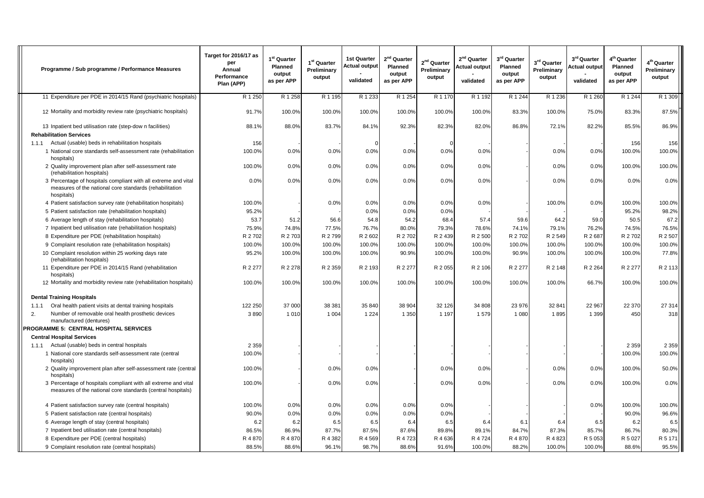| Programme / Sub programme / Performance Measures                                                                                        | Target for 2016/17 as<br>per<br>Annual<br>Performance<br>Plan (APP) | 1 <sup>st</sup> Quarter<br>Planned<br>output<br>as per APP | 1 <sup>st</sup> Quarter<br>Preliminary<br>output | <b>1st Quarter</b><br>Actual output<br>validated | 2 <sup>nd</sup> Quarter<br>Planned<br>output<br>as per APP | 2 <sup>nd</sup> Quarter<br>Preliminary<br>output | $2nd$ Quarter<br>Actual output<br>validated | 3rd Quarter<br>Planned<br>output<br>as per APP | 3rd Quarter<br>Preliminary<br>output | 3 <sup>rd</sup> Quarter<br>Actual output<br>validated | 4 <sup>th</sup> Quarter<br>Planned<br>output<br>as per APP | 4 <sup>th</sup> Quarter<br>Preliminary<br>output |
|-----------------------------------------------------------------------------------------------------------------------------------------|---------------------------------------------------------------------|------------------------------------------------------------|--------------------------------------------------|--------------------------------------------------|------------------------------------------------------------|--------------------------------------------------|---------------------------------------------|------------------------------------------------|--------------------------------------|-------------------------------------------------------|------------------------------------------------------------|--------------------------------------------------|
| 11 Expenditure per PDE in 2014/15 Rand (psychiatric hospitals)                                                                          | R 1 250                                                             | R 1 258                                                    | R 1 1 95                                         | R 1 233                                          | R 1 254                                                    | R 1 170                                          | R 1 192                                     | R 1 244                                        | R 1 236                              | R 1 260                                               | R 1 244                                                    | R 1 309                                          |
| 12 Mortality and morbidity review rate (psychiatric hospitals)                                                                          | 91.7%                                                               | 100.0%                                                     | 100.0%                                           | 100.0%                                           | 100.0%                                                     | 100.0%                                           | 100.0%                                      | 83.3%                                          | 100.0%                               | 75.0%                                                 | 83.3%                                                      | 87.5%                                            |
| 13 Inpatient bed utilisation rate (step-dow n facilities)                                                                               | 88.1%                                                               | 88.0%                                                      | 83.7%                                            | 84.1%                                            | 92.3%                                                      | 82.3%                                            | 82.0%                                       | 86.8%                                          | 72.1%                                | 82.2%                                                 | 85.5%                                                      | 86.9%                                            |
| <b>Rehabilitation Services</b>                                                                                                          |                                                                     |                                                            |                                                  |                                                  |                                                            |                                                  |                                             |                                                |                                      |                                                       |                                                            |                                                  |
| Actual (usable) beds in rehabilitation hospitals<br>1.1.1                                                                               | 156                                                                 |                                                            |                                                  |                                                  |                                                            |                                                  |                                             |                                                |                                      |                                                       | 156                                                        | 156                                              |
| 1 National core standards self-assessment rate (rehabilitation<br>hospitals)                                                            | 100.0%                                                              | 0.0%                                                       | 0.0%                                             | 0.0%                                             | 0.0%                                                       | 0.0%                                             | 0.0%                                        |                                                | 0.0%                                 | 0.0%                                                  | 100.0%                                                     | 100.0%                                           |
| 2 Quality improvement plan after self-assessment rate<br>(rehabilitation hospitals)                                                     | 100.0%                                                              | 0.0%                                                       | 0.0%                                             | 0.0%                                             | 0.0%                                                       | 0.0%                                             | 0.0%                                        |                                                | 0.0%                                 | 0.0%                                                  | 100.0%                                                     | 100.0%                                           |
| 3 Percentage of hospitals compliant with all extreme and vital<br>measures of the national core standards (rehabilitation<br>hospitals) | 0.0%                                                                | 0.0%                                                       | 0.0%                                             | 0.0%                                             | 0.0%                                                       | 0.0%                                             | 0.0%                                        |                                                | 0.0%                                 | 0.0%                                                  | 0.0%                                                       | 0.0%                                             |
| 4 Patient satisfaction survey rate (rehabilitation hospitals)                                                                           | 100.0%                                                              |                                                            | 0.0%                                             | 0.0%                                             | 0.0%                                                       | 0.0%                                             | 0.0%                                        |                                                | 100.0%                               | 0.0%                                                  | 100.0%                                                     | 100.0%                                           |
| 5 Patient satisfaction rate (rehabilitation hospitals)                                                                                  | 95.2%                                                               |                                                            |                                                  | 0.0%                                             | 0.0%                                                       | 0.0%                                             |                                             |                                                |                                      |                                                       | 95.2%                                                      | 98.2%                                            |
| 6 Average length of stay (rehabilitation hospitals)                                                                                     | 53.7                                                                | 51.2                                                       | 56.6                                             | 54.8                                             | 54.2                                                       | 68.4                                             | 57.4                                        | 59.6                                           | 64.2                                 | 59.0                                                  | 50.5                                                       | 67.2                                             |
| 7 Inpatient bed utilisation rate (rehabilitation hospitals)                                                                             | 75.9%                                                               | 74.8%                                                      | 77.5%                                            | 76.7%                                            | 80.0%                                                      | 79.3%                                            | 78.6%                                       | 74.1%                                          | 79.1%                                | 76.2%                                                 | 74.5%                                                      | 76.5%                                            |
| 8 Expenditure per PDE (rehabilitation hospitals)                                                                                        | R 2702                                                              | R 2 703                                                    | R 2 799                                          | R 2 602                                          | R 2702                                                     | R 2 439                                          | R 2 500                                     | R 2702                                         | R 2 549                              | R 2687                                                | R 2702                                                     | R 2 507                                          |
| 9 Complaint resolution rate (rehabilitation hospitals)                                                                                  | 100.0%                                                              | 100.0%                                                     | 100.0%                                           | 100.0%                                           | 100.0%                                                     | 100.0%                                           | 100.0%                                      | 100.0%                                         | 100.0%                               | 100.0%                                                | 100.0%                                                     | 100.0%                                           |
| 10 Complaint resolution within 25 working days rate<br>(rehabilitation hospitals)                                                       | 95.2%                                                               | 100.0%                                                     | 100.0%                                           | 100.0%                                           | 90.9%                                                      | 100.0%                                           | 100.0%                                      | 90.9%                                          | 100.0%                               | 100.0%                                                | 100.0%                                                     | 77.8%                                            |
| 11 Expenditure per PDE in 2014/15 Rand (rehabilitation<br>hospitals)                                                                    | R 2 277                                                             | R 2 278                                                    | R 2 359                                          | R 2 193                                          | R 2 277                                                    | R 2 055                                          | R 2 106                                     | R 2 277                                        | R 2 148                              | R 2 264                                               | R 2 277                                                    | R 2 113                                          |
| 12 Mortality and morbidity review rate (rehabilitation hospitals)                                                                       | 100.0%                                                              | 100.0%                                                     | 100.0%                                           | 100.0%                                           | 100.0%                                                     | 100.0%                                           | 100.0%                                      | 100.0%                                         | 100.0%                               | 66.7%                                                 | 100.0%                                                     | 100.0%                                           |
| <b>Dental Training Hospitals</b>                                                                                                        |                                                                     |                                                            |                                                  |                                                  |                                                            |                                                  |                                             |                                                |                                      |                                                       |                                                            |                                                  |
| Oral health patient visits at dental training hospitals<br>1.1.1                                                                        | 122 250                                                             | 37 000                                                     | 38 381                                           | 35 840                                           | 38 904                                                     | 32 126                                           | 34 808                                      | 23 976                                         | 32 841                               | 22 967                                                | 22 370                                                     | 27 314                                           |
| 2.<br>Number of removable oral health prosthetic devices<br>manufactured (dentures)                                                     | 3890                                                                | 1 0 1 0                                                    | 1 0 0 4                                          | 1 2 2 4                                          | 1 3 5 0                                                    | 1 1 9 7                                          | 1 5 7 9                                     | 1 0 8 0                                        | 1895                                 | 1 3 9 9                                               | 450                                                        | 318                                              |
| PROGRAMME 5: CENTRAL HOSPITAL SERVICES                                                                                                  |                                                                     |                                                            |                                                  |                                                  |                                                            |                                                  |                                             |                                                |                                      |                                                       |                                                            |                                                  |
| <b>Central Hospital Services</b>                                                                                                        |                                                                     |                                                            |                                                  |                                                  |                                                            |                                                  |                                             |                                                |                                      |                                                       |                                                            |                                                  |
| 1.1.1 Actual (usable) beds in central hospitals                                                                                         | 2 3 5 9                                                             |                                                            |                                                  |                                                  |                                                            |                                                  |                                             |                                                |                                      |                                                       | 2 3 5 9                                                    | 2 3 5 9                                          |
| 1 National core standards self-assessment rate (central<br>hospitals)                                                                   | 100.0%                                                              |                                                            |                                                  |                                                  |                                                            |                                                  |                                             |                                                |                                      |                                                       | 100.0%                                                     | 100.0%                                           |
| 2 Quality improvement plan after self-assessment rate (central<br>hospitals)                                                            | 100.0%                                                              |                                                            | 0.0%                                             | 0.0%                                             |                                                            | 0.0%                                             | 0.0%                                        |                                                | 0.0%                                 | 0.0%                                                  | 100.0%                                                     | 50.0%                                            |
| 3 Percentage of hospitals compliant with all extreme and vital<br>measures of the national core standards (central hospitals)           | 100.0%                                                              |                                                            | 0.0%                                             | 0.0%                                             |                                                            | 0.0%                                             | 0.0%                                        |                                                | 0.0%                                 | 0.0%                                                  | 100.0%                                                     | 0.0%                                             |
| 4 Patient satisfaction survey rate (central hospitals)                                                                                  | 100.0%                                                              | 0.0%                                                       | 0.0%                                             | 0.0%                                             | 0.0%                                                       | 0.0%                                             |                                             |                                                |                                      | 0.0%                                                  | 100.0%                                                     | 100.0%                                           |
| 5 Patient satisfaction rate (central hospitals)                                                                                         | 90.0%                                                               | 0.0%                                                       | 0.0%                                             | 0.0%                                             | 0.0%                                                       | 0.0%                                             |                                             |                                                |                                      |                                                       | 90.0%                                                      | 96.6%                                            |
| 6 Average length of stay (central hospitals)                                                                                            | 6.2                                                                 | 6.2                                                        | 6.5                                              | 6.5                                              | 6.4                                                        | 6.5                                              | 6.4                                         | 6.1                                            | 6.4                                  | 6.5                                                   | 6.2                                                        | 6.5                                              |
| 7 Inpatient bed utilisation rate (central hospitals)                                                                                    | 86.5%                                                               | 86.9%                                                      | 87.7%                                            | 87.5%                                            | 87.6%                                                      | 89.8%                                            | 89.1%                                       | 84.7%                                          | 87.3%                                | 85.7%                                                 | 86.7%                                                      | 80.3%                                            |
| 8 Expenditure per PDE (central hospitals)                                                                                               | R 4 870                                                             | R 4 870                                                    | R 4 382                                          | R 4 569                                          | R 4723                                                     | R 4636                                           | R 4 724                                     | R 4 870                                        | R 4 823                              | R 5 053                                               | R 5 027                                                    | R 5 171                                          |
| 9 Complaint resolution rate (central hospitals)                                                                                         | 88.5%                                                               | 88.6%                                                      | 96.1%                                            | 98.7%                                            | 88.6%                                                      | 91.6%                                            | 100.0%                                      | 88.2%                                          | 100.0%                               | 100.0%                                                | 88.6%                                                      | 95.5%                                            |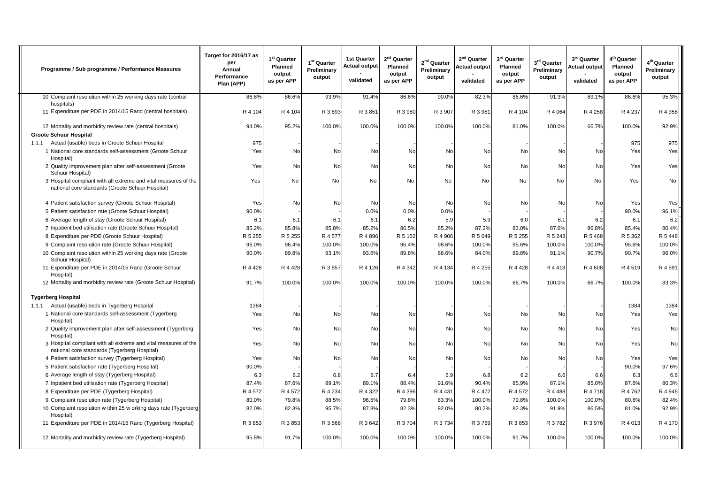| Programme / Sub programme / Performance Measures                                                                    | Target for 2016/17 as<br>per<br>Annual<br>Performance<br>Plan (APP) | 1 <sup>st</sup> Quarter<br>Planned<br>output<br>as per APP | 1 <sup>st</sup> Quarter<br>Preliminary<br>output | <b>1st Quarter</b><br><b>Actual output</b><br>validated | 2 <sup>nd</sup> Quarter<br>Planned<br>output<br>as per APP | 2 <sup>nd</sup> Quarter<br>Preliminary<br>output | 2 <sup>nd</sup> Quarter<br>Actual output<br>validated | 3rd Quarter<br>Planned<br>output<br>as per APP | 3rd Quarter<br>Preliminary<br>output | 3 <sup>rd</sup> Quarter<br><b>Actual output</b><br>validated | 4 <sup>th</sup> Quarter<br>Planned<br>output<br>as per APP | 4 <sup>th</sup> Quarter<br>Preliminary<br>output |
|---------------------------------------------------------------------------------------------------------------------|---------------------------------------------------------------------|------------------------------------------------------------|--------------------------------------------------|---------------------------------------------------------|------------------------------------------------------------|--------------------------------------------------|-------------------------------------------------------|------------------------------------------------|--------------------------------------|--------------------------------------------------------------|------------------------------------------------------------|--------------------------------------------------|
| 10 Complaint resolution within 25 working days rate (central                                                        | 86.6%                                                               | 86.6%                                                      | 93.9%                                            | 91.4%                                                   | 86.6%                                                      | 90.0%                                            | 82.3%                                                 | 86.6%                                          | 91.3%                                | 89.1%                                                        | 86.6%                                                      | 95.3%                                            |
| hospitals)                                                                                                          |                                                                     |                                                            |                                                  |                                                         |                                                            |                                                  |                                                       |                                                |                                      |                                                              |                                                            |                                                  |
| 11 Expenditure per PDE in 2014/15 Rand (central hospitals)                                                          | R 4 104                                                             | R 4 104                                                    | R 3 693                                          | R 3 851                                                 | R 3 980                                                    | R 3 907                                          | R 3 981                                               | R 4 104                                        | R 4 064                              | R 4 258                                                      | R 4 237                                                    | R 4 358                                          |
| 12 Mortality and morbidity review rate (central hospitals)                                                          | 94.0%                                                               | 95.2%                                                      | 100.0%                                           | 100.0%                                                  | 100.0%                                                     | 100.0%                                           | 100.0%                                                | 81.0%                                          | 100.0%                               | 66.7%                                                        | 100.0%                                                     | 92.9%                                            |
| <b>Groote Schuur Hospital</b>                                                                                       |                                                                     |                                                            |                                                  |                                                         |                                                            |                                                  |                                                       |                                                |                                      |                                                              |                                                            |                                                  |
| 1.1.1 Actual (usable) beds in Groote Schuur Hospital                                                                | 975                                                                 |                                                            |                                                  |                                                         |                                                            |                                                  |                                                       |                                                |                                      |                                                              | 975                                                        | 975                                              |
| 1 National core standards self-assessment (Groote Schuur<br>Hospital)                                               | Yes                                                                 | No                                                         | No                                               | No                                                      | No                                                         | No                                               | No                                                    | No                                             | No                                   | No                                                           | Yes                                                        | Yes                                              |
| 2 Quality improvement plan after self-assessment (Groote<br>Schuur Hospital)                                        | Yes                                                                 | No                                                         | No                                               | <b>No</b>                                               | No                                                         | No                                               | No                                                    | No                                             | No                                   | No                                                           | Yes                                                        | Yes                                              |
| 3 Hospital compliant with all extreme and vital measures of the<br>national core standards (Groote Schuur Hospital) | Yes                                                                 | No                                                         | No                                               | No                                                      | No                                                         | No                                               | No                                                    | No                                             | No                                   | No                                                           | Yes                                                        | No                                               |
| 4 Patient satisfaction survey (Groote Schuur Hospital)                                                              | Yes                                                                 | No                                                         | No                                               | No                                                      | No                                                         | No                                               | No                                                    | No                                             | No                                   | No                                                           | Yes                                                        | Yes                                              |
| 5 Patient satisfaction rate (Groote Schuur Hospital)                                                                | 90.0%                                                               |                                                            |                                                  | 0.0%                                                    | 0.0%                                                       | 0.0%                                             |                                                       |                                                |                                      |                                                              | 90.0%                                                      | 96.1%                                            |
| 6 Average length of stay (Groote Schuur Hospital)                                                                   | 6.7                                                                 | 6.7                                                        | 6.7                                              | 6.1                                                     | 6.2                                                        | 5.9                                              | 5.9                                                   | 6.0                                            | 6.1                                  | 6.2                                                          | 6.1                                                        | 6.2                                              |
| 7 Inpatient bed utilisation rate (Groote Schuur Hospital)                                                           | 85.2%                                                               | 85.8%                                                      | 85.8%                                            | 85.2%                                                   | 86.5%                                                      | 85.2%                                            | 87.2%                                                 | 83.0%                                          | 87.6%                                | 86.8%                                                        | 85.4%                                                      | 80.4%                                            |
| 8 Expenditure per PDE (Groote Schuur Hospital)                                                                      | R 5 255                                                             | R 5 255                                                    | R 4 577                                          | R 4896                                                  | R 5 152                                                    | R 4 906                                          | R 5 049                                               | R 5 255                                        | R 5 243                              | R 5 468                                                      | R 5 362                                                    | R 5 448                                          |
| 9 Complaint resolution rate (Groote Schuur Hospital)                                                                | 96.0%                                                               | 96.4%                                                      | 100.0%                                           | 100.0%                                                  | 96.4%                                                      | 98.6%                                            | 100.0%                                                | 95.6%                                          | 100.0%                               | 100.0%                                                       | 95.6%                                                      | 100.0%                                           |
| 10 Complaint resolution within 25 working days rate (Groote<br>Schuur Hospital)                                     | 90.0%                                                               | 89.8%                                                      | 93.1%                                            | 93.6%                                                   | 89.8%                                                      | 88.6%                                            | 84.0%                                                 | 89.8%                                          | 91.1%                                | 90.7%                                                        | 90.7%                                                      | 96.0%                                            |
| 11 Expenditure per PDE in 2014/15 Rand (Groote Schuur<br>Hospital)                                                  | R 4 4 28                                                            | R 4 428                                                    | R 3 857                                          | R 4 126                                                 | R 4 342                                                    | R 4 134                                          | R 4 255                                               | R 4 4 2 8                                      | R 4 4 1 8                            | R 4 608                                                      | R 4 519                                                    | R 4 591                                          |
| 12 Mortality and morbidity review rate (Groote Schuur Hospital)                                                     | 91.7%                                                               | 100.0%                                                     | 100.0%                                           | 100.0%                                                  | 100.0%                                                     | 100.0%                                           | 100.0%                                                | 66.7%                                          | 100.0%                               | 66.7%                                                        | 100.0%                                                     | 83.3%                                            |
| <b>Tygerberg Hospital</b>                                                                                           |                                                                     |                                                            |                                                  |                                                         |                                                            |                                                  |                                                       |                                                |                                      |                                                              |                                                            |                                                  |
| Actual (usable) beds in Tygerberg Hospital<br>1.1.1                                                                 | 1384                                                                |                                                            |                                                  |                                                         |                                                            |                                                  |                                                       |                                                |                                      |                                                              | 1384                                                       | 1384                                             |
| 1 National core standards self-assessment (Tygerberg<br>Hospital)                                                   | Yes                                                                 | No                                                         | No                                               | No                                                      | No                                                         | No                                               | No                                                    | No                                             | No                                   | No                                                           | Yes                                                        | Yes                                              |
| 2 Quality improvement plan after self-assessment (Tygerberg<br>Hospital)                                            | Yes                                                                 | No                                                         | No                                               | No                                                      | No                                                         | No                                               | No                                                    | No                                             | No                                   | No                                                           | Yes                                                        | No                                               |
| 3 Hospital compliant with all extreme and vital measures of the<br>national core standards (Tygerberg Hospital)     | Yes                                                                 | No                                                         | No                                               | No                                                      | No                                                         | No                                               | <b>No</b>                                             | No                                             | No                                   | <b>No</b>                                                    | Yes                                                        | No                                               |
| 4 Patient satisfaction survey (Tygerberg Hospital)                                                                  | Yes                                                                 | No                                                         | No                                               | No                                                      | No                                                         | No                                               | No                                                    | No                                             | No                                   | No                                                           | Yes                                                        | Yes                                              |
| 5 Patient satisfaction rate (Tygerberg Hospital)                                                                    | 90.0%                                                               |                                                            |                                                  |                                                         |                                                            |                                                  |                                                       |                                                |                                      |                                                              | 90.0%                                                      | 97.6%                                            |
| 6 Average length of stay (Tygerberg Hospital)                                                                       | 6.3                                                                 | 6.2                                                        | 6.8                                              | 6.7                                                     | 6.4                                                        | 6.9                                              | 6.8                                                   | 6.2                                            | 6.6                                  | 6.6                                                          | 6.3                                                        | 6.6                                              |
| 7 Inpatient bed utilisation rate (Tygerberg Hospital)                                                               | 87.4%                                                               | 87.6%                                                      | 89.1%                                            | 89.1%                                                   | 88.4%                                                      | 91.6%                                            | 90.4%                                                 | 85.9%                                          | 87.1%                                | 85.0%                                                        | 87.6%                                                      | 80.3%                                            |
| 8 Expenditure per PDE (Tygerberg Hospital)                                                                          | R 4 572                                                             | R 4 572                                                    | R 4 234                                          | R 4 322                                                 | R 4 396                                                    | R 4 4 3 1                                        | R 4 472                                               | R 4 572                                        | R 4 4 8 8                            | R 4 718                                                      | R 4762                                                     | R 4 948                                          |
| 9 Complaint resolution rate (Tygerberg Hospital)                                                                    | 80.0%                                                               | 79.8%                                                      | 88.5%                                            | 96.5%                                                   | 79.8%                                                      | 83.3%                                            | 100.0%                                                | 79.8%                                          | 100.0%                               | 100.0%                                                       | 80.6%                                                      | 82.4%                                            |
| 10 Complaint resolution w ithin 25 w orking days rate (Tygerberg<br>Hospital)                                       | 82.0%                                                               | 82.3%                                                      | 95.7%                                            | 87.8%                                                   | 82.3%                                                      | 92.0%                                            | 80.2%                                                 | 82.3%                                          | 91.9%                                | 86.5%                                                        | 81.0%                                                      | 92.9%                                            |
| 11 Expenditure per PDE in 2014/15 Rand (Tygerberg Hospital)                                                         | R 3 853                                                             | R 3 853                                                    | R 3 568                                          | R 3 642                                                 | R 3704                                                     | R 3734                                           | R 3769                                                | R 3 853                                        | R 3782                               | R 3 976                                                      | R 4 013                                                    | R 4 170                                          |
| 12 Mortality and morbidity review rate (Tygerberg Hospital)                                                         | 95.8%                                                               | 91.7%                                                      | 100.0%                                           | 100.0%                                                  | 100.0%                                                     | 100.0%                                           | 100.0%                                                | 91.7%                                          | 100.0%                               | 100.0%                                                       | 100.0%                                                     | 100.0%                                           |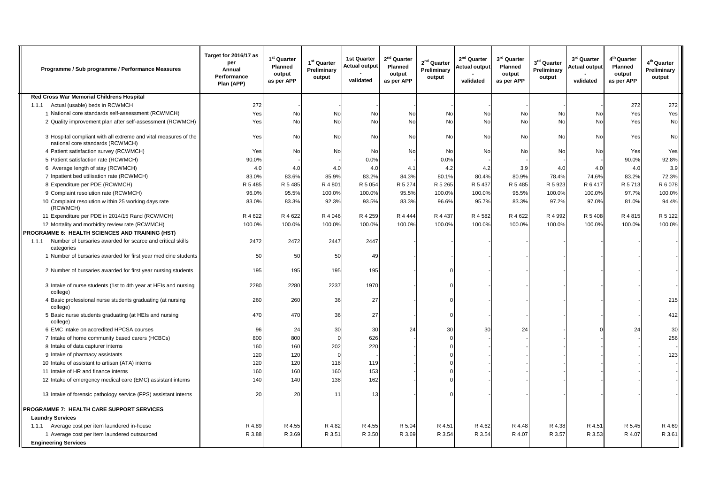| Programme / Sub programme / Performance Measures                                                    | Target for 2016/17 as<br>per<br>Annual<br>Performance<br>Plan (APP) | $1st$ Quarter<br><b>Planned</b><br>output<br>as per APP | 1 <sup>st</sup> Quarter<br>Preliminary<br>output | <b>1st Quarter</b><br><b>Actual output</b><br>validated | 2 <sup>nd</sup> Quarter<br>Planned<br>output<br>as per APP | 2 <sup>nd</sup> Quarter<br>Preliminary<br>output | 2 <sup>nd</sup> Quarter<br><b>Actual output</b><br>validated | 3 <sup>rd</sup> Quarter<br>Planned<br>output<br>as per APP | 3rd Quarter<br>Preliminary<br>output | 3 <sup>rd</sup> Quarter<br><b>Actual output</b><br>validated | 4 <sup>th</sup> Quarter<br>Planned<br>output<br>as per APP | 4 <sup>th</sup> Quarter<br>Preliminary<br>output |
|-----------------------------------------------------------------------------------------------------|---------------------------------------------------------------------|---------------------------------------------------------|--------------------------------------------------|---------------------------------------------------------|------------------------------------------------------------|--------------------------------------------------|--------------------------------------------------------------|------------------------------------------------------------|--------------------------------------|--------------------------------------------------------------|------------------------------------------------------------|--------------------------------------------------|
| Red Cross War Memorial Childrens Hospital                                                           |                                                                     |                                                         |                                                  |                                                         |                                                            |                                                  |                                                              |                                                            |                                      |                                                              |                                                            |                                                  |
| 1.1.1 Actual (usable) beds in RCWMCH                                                                | 272                                                                 |                                                         |                                                  |                                                         |                                                            |                                                  |                                                              |                                                            |                                      |                                                              | 272                                                        | 272                                              |
| 1 National core standards self-assessment (RCWMCH)                                                  | Yes                                                                 | No                                                      | No                                               | No                                                      | No                                                         | No                                               | No                                                           | No                                                         | No                                   | No                                                           | Yes                                                        | Yes                                              |
| 2 Quality improvement plan after self-assessment (RCWMCH)                                           | Yes                                                                 | <b>No</b>                                               | <b>No</b>                                        | <b>No</b>                                               | <b>No</b>                                                  | <b>No</b>                                        | <b>No</b>                                                    | No                                                         | <b>No</b>                            | <b>No</b>                                                    | Yes                                                        | <b>No</b>                                        |
| 3 Hospital compliant with all extreme and vital measures of the<br>national core standards (RCWMCH) | Yes                                                                 | No                                                      | No                                               | No                                                      | No                                                         | No                                               | No                                                           | No                                                         | No                                   | No                                                           | Yes                                                        | No                                               |
| 4 Patient satisfaction survey (RCWMCH)                                                              | Yes                                                                 | No                                                      | No                                               | No                                                      | No                                                         | No                                               | No                                                           | No                                                         | No                                   | No                                                           | Yes                                                        | Yes                                              |
| 5 Patient satisfaction rate (RCWMCH)                                                                | 90.0%                                                               |                                                         |                                                  | 0.0%                                                    |                                                            | 0.0%                                             |                                                              |                                                            |                                      |                                                              | 90.0%                                                      | 92.8%                                            |
| 6 Average length of stay (RCWMCH)                                                                   | 4.0                                                                 | 4. <sub>C</sub>                                         | 4.0                                              | 4.0                                                     | 4.1                                                        | 4.2                                              | 4.2                                                          | 3.9                                                        | 4.0                                  | 4.0                                                          | 4.0                                                        | 3.9                                              |
| 7 Inpatient bed utilisation rate (RCWMCH)                                                           | 83.0%                                                               | 83.6%                                                   | 85.9%                                            | 83.2%                                                   | 84.3%                                                      | 80.1%                                            | 80.4%                                                        | 80.9%                                                      | 78.4%                                | 74.6%                                                        | 83.2%                                                      | 72.3%                                            |
| 8 Expenditure per PDE (RCWMCH)                                                                      | R 5 485                                                             | R 5 485                                                 | R 4 801                                          | R 5 0 5 4                                               | R 5 274                                                    | R 5 265                                          | R 5 437                                                      | R 5 485                                                    | R 5 923                              | R 6 417                                                      | R 5 713                                                    | R 6 078                                          |
| 9 Complaint resolution rate (RCWMCH)                                                                | 96.0%                                                               | 95.5%                                                   | 100.0%                                           | 100.0%                                                  | 95.5%                                                      | 100.0%                                           | 100.0%                                                       | 95.5%                                                      | 100.0%                               | 100.0%                                                       | 97.7%                                                      | 100.0%                                           |
| 10 Complaint resolution w ithin 25 working days rate<br>(RCWMCH)                                    | 83.0%                                                               | 83.3%                                                   | 92.3%                                            | 93.5%                                                   | 83.3%                                                      | 96.6%                                            | 95.7%                                                        | 83.3%                                                      | 97.2%                                | 97.0%                                                        | 81.0%                                                      | 94.4%                                            |
| 11 Expenditure per PDE in 2014/15 Rand (RCWMCH)                                                     | R 4622                                                              | R 4 622                                                 | R 4 046                                          | R 4 259                                                 | R 4 4 4 4                                                  | R 4 437                                          | R 4 582                                                      | R 4622                                                     | R 4 992                              | R 5 408                                                      | R 4 8 1 5                                                  | R 5 122                                          |
| 12 Mortality and morbidity review rate (RCWMCH)                                                     | 100.0%                                                              | 100.0%                                                  | 100.0%                                           | 100.0%                                                  | 100.0%                                                     | 100.0%                                           | 100.0%                                                       | 100.0%                                                     | 100.0%                               | 100.0%                                                       | 100.0%                                                     | 100.0%                                           |
| <b>PROGRAMME 6: HEALTH SCIENCES AND TRAINING (HST)</b>                                              |                                                                     |                                                         |                                                  |                                                         |                                                            |                                                  |                                                              |                                                            |                                      |                                                              |                                                            |                                                  |
| 1.1.1 Number of bursaries awarded for scarce and critical skills<br>categories                      | 2472                                                                | 2472                                                    | 2447                                             | 2447                                                    |                                                            |                                                  |                                                              |                                                            |                                      |                                                              |                                                            |                                                  |
| 1 Number of bursaries awarded for first year medicine students                                      | 50                                                                  | 50                                                      | 50                                               | 49                                                      |                                                            |                                                  |                                                              |                                                            |                                      |                                                              |                                                            |                                                  |
| 2 Number of bursaries awarded for first year nursing students                                       | 195                                                                 | 195                                                     | 195                                              | 195                                                     |                                                            |                                                  |                                                              |                                                            |                                      |                                                              |                                                            |                                                  |
| 3 Intake of nurse students (1st to 4th year at HEIs and nursing<br>college)                         | 2280                                                                | 2280                                                    | 2237                                             | 1970                                                    |                                                            |                                                  |                                                              |                                                            |                                      |                                                              |                                                            |                                                  |
| 4 Basic professional nurse students graduating (at nursing<br>college)                              | 260                                                                 | 260                                                     | 36                                               | 27                                                      |                                                            |                                                  |                                                              |                                                            |                                      |                                                              |                                                            | 215                                              |
| 5 Basic nurse students graduating (at HEIs and nursing<br>college)                                  | 470                                                                 | 470                                                     | 36                                               | 27                                                      |                                                            |                                                  |                                                              |                                                            |                                      |                                                              |                                                            | 412                                              |
| 6 EMC intake on accredited HPCSA courses                                                            | 96                                                                  | 24                                                      | 30                                               | 30                                                      | 24                                                         | 30                                               | 30                                                           | 24                                                         |                                      |                                                              | 24                                                         | 30                                               |
| 7 Intake of home community based carers (HCBCs)                                                     | 800                                                                 | 800                                                     |                                                  | 626                                                     |                                                            |                                                  |                                                              |                                                            |                                      |                                                              |                                                            | 256                                              |
| 8 Intake of data capturer interns                                                                   | 160                                                                 | 160                                                     | 202                                              | 220                                                     |                                                            |                                                  |                                                              |                                                            |                                      |                                                              |                                                            |                                                  |
| 9 Intake of pharmacy assistants                                                                     | 120                                                                 | 120                                                     |                                                  |                                                         |                                                            |                                                  |                                                              |                                                            |                                      |                                                              |                                                            | 123                                              |
| 10 Intake of assistant to artisan (ATA) interns                                                     | 120                                                                 | 120                                                     | 118                                              | 119                                                     |                                                            |                                                  |                                                              |                                                            |                                      |                                                              |                                                            |                                                  |
| 11 Intake of HR and finance interns                                                                 | 160                                                                 | 160                                                     | 160                                              | 153                                                     |                                                            |                                                  |                                                              |                                                            |                                      |                                                              |                                                            |                                                  |
| 12 Intake of emergency medical care (EMC) assistant interns                                         | 140                                                                 | 140                                                     | 138                                              | 162                                                     |                                                            |                                                  |                                                              |                                                            |                                      |                                                              |                                                            |                                                  |
| 13 Intake of forensic pathology service (FPS) assistant interns                                     | 20                                                                  | 20                                                      | 11                                               | 13                                                      |                                                            |                                                  |                                                              |                                                            |                                      |                                                              |                                                            |                                                  |
| <b>PROGRAMME 7: HEALTH CARE SUPPORT SERVICES</b>                                                    |                                                                     |                                                         |                                                  |                                                         |                                                            |                                                  |                                                              |                                                            |                                      |                                                              |                                                            |                                                  |
| <b>Laundry Services</b>                                                                             |                                                                     |                                                         |                                                  |                                                         |                                                            |                                                  |                                                              |                                                            |                                      |                                                              |                                                            |                                                  |
| 1.1.1 Average cost per item laundered in-house                                                      | R 4.89                                                              | R 4.55                                                  | R 4.82                                           | R 4.55                                                  | R 5.04                                                     | R 4.51                                           | R 4.62                                                       | R 4.48                                                     | R 4.38                               | R 4.51                                                       | R 5.45                                                     | R 4.69                                           |
| 1 Average cost per item laundered outsourced                                                        | R 3.88                                                              | R 3.69                                                  | R 3.51                                           | R 3.50                                                  | R 3.69                                                     | R 3.54                                           | R 3.54                                                       | R 4.07                                                     | R 3.57                               | R 3.53                                                       | R 4.07                                                     | R 3.61                                           |
| <b>Engineering Services</b>                                                                         |                                                                     |                                                         |                                                  |                                                         |                                                            |                                                  |                                                              |                                                            |                                      |                                                              |                                                            |                                                  |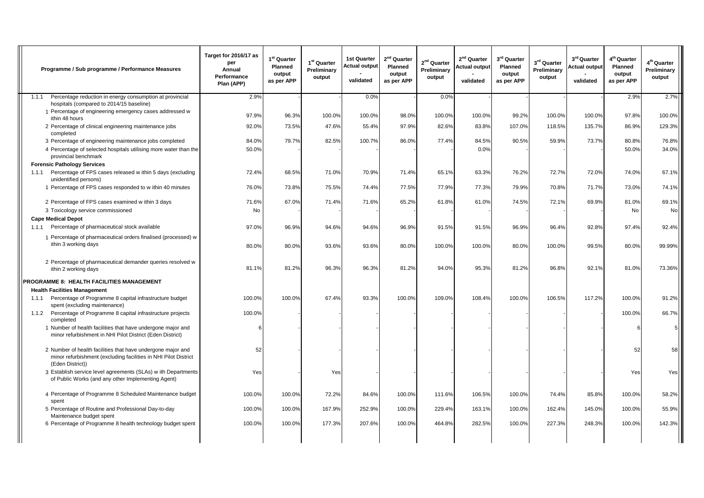|       | Programme / Sub programme / Performance Measures                                                                                                   | Target for 2016/17 as<br>per<br>Annual<br>Performance<br>Plan (APP) | $1^{st}$ Quarter<br>Planned<br>output<br>as per APP | 1 <sup>st</sup> Quarter<br>Preliminary<br>output | <b>1st Quarter</b><br><b>Actual output</b><br>validated | 2 <sup>nd</sup> Quarter<br>Planned<br>output<br>as per APP | 2 <sup>nd</sup> Quarter<br>Preliminary<br>output | 2 <sup>nd</sup> Quarter<br><b>Actual output</b><br>validated | $3^{\rm rd}$ Quarter<br>Planned<br>output<br>as per APP | 3rd Quarter<br>Preliminary<br>output | 3 <sup>rd</sup> Quarter<br><b>Actual output</b><br>validated | 4 <sup>th</sup> Quarter<br><b>Planned</b><br>output<br>as per APP | 4 <sup>th</sup> Quarter<br>Preliminary<br>output |
|-------|----------------------------------------------------------------------------------------------------------------------------------------------------|---------------------------------------------------------------------|-----------------------------------------------------|--------------------------------------------------|---------------------------------------------------------|------------------------------------------------------------|--------------------------------------------------|--------------------------------------------------------------|---------------------------------------------------------|--------------------------------------|--------------------------------------------------------------|-------------------------------------------------------------------|--------------------------------------------------|
| 1.1.1 | Percentage reduction in energy consumption at provincial<br>hospitals (compared to 2014/15 baseline)                                               | 2.9%                                                                |                                                     |                                                  | 0.0%                                                    |                                                            | 0.0%                                             |                                                              |                                                         |                                      |                                                              | 2.9%                                                              | 2.7%                                             |
|       | 1 Percentage of engineering emergency cases addressed w<br>ithin 48 hours                                                                          | 97.9%                                                               | 96.3%                                               | 100.0%                                           | 100.0%                                                  | 98.0%                                                      | 100.0%                                           | 100.0%                                                       | 99.2%                                                   | 100.0%                               | 100.0%                                                       | 97.8%                                                             | 100.0%                                           |
|       | 2 Percentage of clinical engineering maintenance jobs<br>completed                                                                                 | 92.0%                                                               | 73.5%                                               | 47.6%                                            | 55.4%                                                   | 97.9%                                                      | 82.6%                                            | 83.8%                                                        | 107.0%                                                  | 118.5%                               | 135.7%                                                       | 86.9%                                                             | 129.3%                                           |
|       | 3 Percentage of engineering maintenance jobs completed                                                                                             | 84.0%                                                               | 79.7%                                               | 82.5%                                            | 100.7%                                                  | 86.0%                                                      | 77.4%                                            | 84.5%                                                        | 90.5%                                                   | 59.9%                                | 73.7%                                                        | 80.8%                                                             | 76.8%                                            |
|       | 4 Percentage of selected hospitals utilising more water than the<br>provincial benchmark                                                           | 50.0%                                                               |                                                     |                                                  |                                                         |                                                            |                                                  | 0.0%                                                         |                                                         |                                      |                                                              | 50.0%                                                             | 34.0%                                            |
|       | <b>Forensic Pathology Services</b>                                                                                                                 |                                                                     |                                                     |                                                  |                                                         |                                                            |                                                  |                                                              |                                                         |                                      |                                                              |                                                                   |                                                  |
| 1.1.1 | Percentage of FPS cases released w ithin 5 days (excluding<br>unidentified persons)                                                                | 72.4%                                                               | 68.5%                                               | 71.0%                                            | 70.9%                                                   | 71.4%                                                      | 65.1%                                            | 63.3%                                                        | 76.2%                                                   | 72.7%                                | 72.0%                                                        | 74.0%                                                             | 67.1%                                            |
|       | 1 Percentage of FPS cases responded to w ithin 40 minutes                                                                                          | 76.0%                                                               | 73.8%                                               | 75.5%                                            | 74.4%                                                   | 77.5%                                                      | 77.9%                                            | 77.3%                                                        | 79.9%                                                   | 70.8%                                | 71.7%                                                        | 73.0%                                                             | 74.1%                                            |
|       | 2 Percentage of FPS cases examined w ithin 3 days                                                                                                  | 71.6%                                                               | 67.0%                                               | 71.4%                                            | 71.6%                                                   | 65.2%                                                      | 61.8%                                            | 61.0%                                                        | 74.5%                                                   | 72.1%                                | 69.9%                                                        | 81.0%                                                             | 69.1%                                            |
|       | 3 Toxicology service commissioned                                                                                                                  | <b>No</b>                                                           |                                                     |                                                  |                                                         |                                                            |                                                  |                                                              |                                                         |                                      |                                                              | <b>No</b>                                                         | No                                               |
|       | <b>Cape Medical Depot</b>                                                                                                                          |                                                                     |                                                     |                                                  |                                                         |                                                            |                                                  |                                                              |                                                         |                                      |                                                              |                                                                   |                                                  |
| 1.1.1 | Percentage of pharmaceutical stock available                                                                                                       | 97.0%                                                               | 96.9%                                               | 94.6%                                            | 94.6%                                                   | 96.9%                                                      | 91.5%                                            | 91.5%                                                        | 96.9%                                                   | 96.4%                                | 92.8%                                                        | 97.4%                                                             | 92.4%                                            |
|       | 1 Percentage of pharmaceutical orders finalised (processed) w<br>ithin 3 working days                                                              | 80.0%                                                               | 80.0%                                               | 93.6%                                            | 93.6%                                                   | 80.0%                                                      | 100.0%                                           | 100.0%                                                       | 80.0%                                                   | 100.0%                               | 99.5%                                                        | 80.0%                                                             | 99.99%                                           |
|       | 2 Percentage of pharmaceutical demander queries resolved w<br>ithin 2 working days                                                                 | 81.1%                                                               | 81.2%                                               | 96.3%                                            | 96.3%                                                   | 81.2%                                                      | 94.0%                                            | 95.3%                                                        | 81.2%                                                   | 96.8%                                | 92.1%                                                        | 81.0%                                                             | 73.36%                                           |
|       | <b>PROGRAMME 8: HEALTH FACILITIES MANAGEMENT</b>                                                                                                   |                                                                     |                                                     |                                                  |                                                         |                                                            |                                                  |                                                              |                                                         |                                      |                                                              |                                                                   |                                                  |
|       | <b>Health Facilities Management</b>                                                                                                                |                                                                     |                                                     |                                                  |                                                         |                                                            |                                                  |                                                              |                                                         |                                      |                                                              |                                                                   |                                                  |
|       | 1.1.1 Percentage of Programme 8 capital infrastructure budget<br>spent (excluding maintenance)                                                     | 100.0%                                                              | 100.0%                                              | 67.4%                                            | 93.3%                                                   | 100.0%                                                     | 109.0%                                           | 108.4%                                                       | 100.0%                                                  | 106.5%                               | 117.2%                                                       | 100.0%                                                            | 91.2%                                            |
| 1.1.2 | Percentage of Programme 8 capital infrastructure projects<br>completed                                                                             | 100.0%                                                              |                                                     |                                                  |                                                         |                                                            |                                                  |                                                              |                                                         |                                      |                                                              | 100.0%                                                            | 66.7%                                            |
|       | 1 Number of health facilities that have undergone major and<br>minor refurbishment in NHI Pilot District (Eden District)                           | 6                                                                   |                                                     |                                                  |                                                         |                                                            |                                                  |                                                              |                                                         |                                      |                                                              |                                                                   |                                                  |
|       | 2 Number of health facilities that have undergone major and<br>minor refurbishment (excluding facilities in NHI Pilot District<br>(Eden District)) | 52                                                                  |                                                     |                                                  |                                                         |                                                            |                                                  |                                                              |                                                         |                                      |                                                              | 52                                                                | 58                                               |
|       | 3 Establish service level agreements (SLAs) w ith Departments<br>of Public Works (and any other Implementing Agent)                                | Yes                                                                 |                                                     | Yes                                              |                                                         |                                                            |                                                  |                                                              |                                                         |                                      |                                                              | Yes                                                               | Yes                                              |
|       | 4 Percentage of Programme 8 Scheduled Maintenance budget<br>spent                                                                                  | 100.0%                                                              | 100.0%                                              | 72.2%                                            | 84.6%                                                   | 100.0%                                                     | 111.6%                                           | 106.5%                                                       | 100.0%                                                  | 74.4%                                | 85.8%                                                        | 100.0%                                                            | 58.2%                                            |
|       | 5 Percentage of Routine and Professional Day-to-day<br>Maintenance budget spent                                                                    | 100.0%                                                              | 100.0%                                              | 167.9%                                           | 252.9%                                                  | 100.0%                                                     | 229.4%                                           | 163.1%                                                       | 100.0%                                                  | 162.4%                               | 145.0%                                                       | 100.0%                                                            | 55.9%                                            |
|       | 6 Percentage of Programme 8 health technology budget spent                                                                                         | 100.0%                                                              | 100.0%                                              | 177.3%                                           | 207.6%                                                  | 100.0%                                                     | 464.8%                                           | 282.5%                                                       | 100.0%                                                  | 227.3%                               | 248.3%                                                       | 100.0%                                                            | 142.3%                                           |
|       |                                                                                                                                                    |                                                                     |                                                     |                                                  |                                                         |                                                            |                                                  |                                                              |                                                         |                                      |                                                              |                                                                   |                                                  |